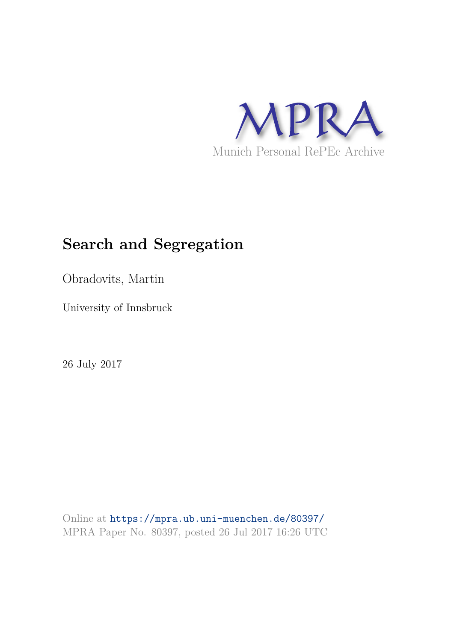

# **Search and Segregation**

Obradovits, Martin

University of Innsbruck

26 July 2017

Online at https://mpra.ub.uni-muenchen.de/80397/ MPRA Paper No. 80397, posted 26 Jul 2017 16:26 UTC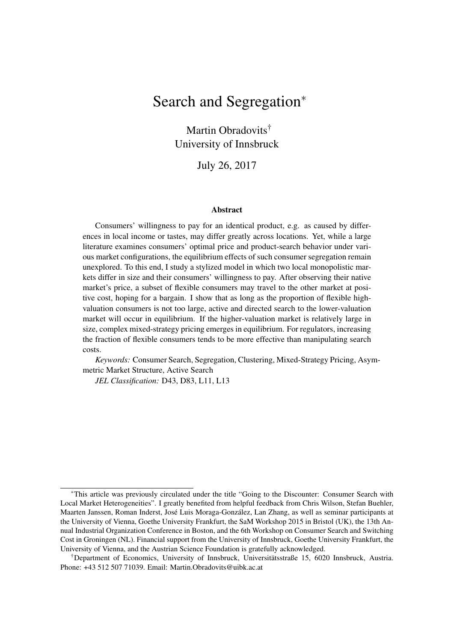# Search and Segregation<sup>∗</sup>

Martin Obradovits<sup>†</sup> University of Innsbruck

July 26, 2017

#### Abstract

Consumers' willingness to pay for an identical product, e.g. as caused by differences in local income or tastes, may differ greatly across locations. Yet, while a large literature examines consumers' optimal price and product-search behavior under various market configurations, the equilibrium effects of such consumer segregation remain unexplored. To this end, I study a stylized model in which two local monopolistic markets differ in size and their consumers' willingness to pay. After observing their native market's price, a subset of flexible consumers may travel to the other market at positive cost, hoping for a bargain. I show that as long as the proportion of flexible highvaluation consumers is not too large, active and directed search to the lower-valuation market will occur in equilibrium. If the higher-valuation market is relatively large in size, complex mixed-strategy pricing emerges in equilibrium. For regulators, increasing the fraction of flexible consumers tends to be more effective than manipulating search costs.

*Keywords:* Consumer Search, Segregation, Clustering, Mixed-Strategy Pricing, Asymmetric Market Structure, Active Search

*JEL Classification:* D43, D83, L11, L13

<sup>∗</sup>This article was previously circulated under the title "Going to the Discounter: Consumer Search with Local Market Heterogeneities". I greatly benefited from helpful feedback from Chris Wilson, Stefan Buehler, Maarten Janssen, Roman Inderst, José Luis Moraga-González, Lan Zhang, as well as seminar participants at the University of Vienna, Goethe University Frankfurt, the SaM Workshop 2015 in Bristol (UK), the 13th Annual Industrial Organization Conference in Boston, and the 6th Workshop on Consumer Search and Switching Cost in Groningen (NL). Financial support from the University of Innsbruck, Goethe University Frankfurt, the University of Vienna, and the Austrian Science Foundation is gratefully acknowledged.

<sup>†</sup>Department of Economics, University of Innsbruck, Universitätsstraße 15, 6020 Innsbruck, Austria. Phone: +43 512 507 71039. Email: Martin.Obradovits@uibk.ac.at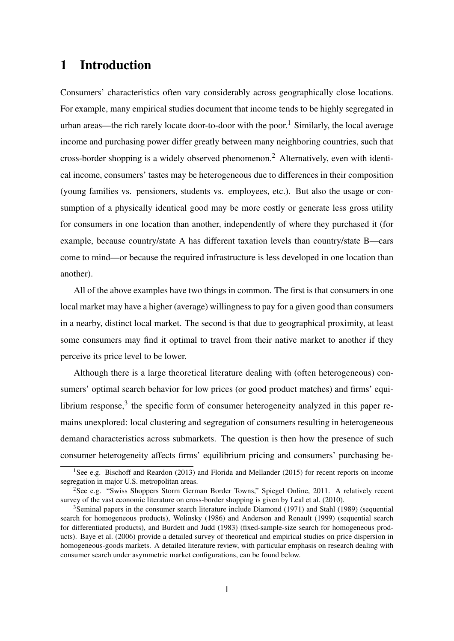## 1 Introduction

Consumers' characteristics often vary considerably across geographically close locations. For example, many empirical studies document that income tends to be highly segregated in urban areas—the rich rarely locate door-to-door with the poor.<sup>1</sup> Similarly, the local average income and purchasing power differ greatly between many neighboring countries, such that cross-border shopping is a widely observed phenomenon.<sup>2</sup> Alternatively, even with identical income, consumers' tastes may be heterogeneous due to differences in their composition (young families vs. pensioners, students vs. employees, etc.). But also the usage or consumption of a physically identical good may be more costly or generate less gross utility for consumers in one location than another, independently of where they purchased it (for example, because country/state A has different taxation levels than country/state B—cars come to mind—or because the required infrastructure is less developed in one location than another).

All of the above examples have two things in common. The first is that consumers in one local market may have a higher (average) willingness to pay for a given good than consumers in a nearby, distinct local market. The second is that due to geographical proximity, at least some consumers may find it optimal to travel from their native market to another if they perceive its price level to be lower.

Although there is a large theoretical literature dealing with (often heterogeneous) consumers' optimal search behavior for low prices (or good product matches) and firms' equilibrium response, $3$  the specific form of consumer heterogeneity analyzed in this paper remains unexplored: local clustering and segregation of consumers resulting in heterogeneous demand characteristics across submarkets. The question is then how the presence of such consumer heterogeneity affects firms' equilibrium pricing and consumers' purchasing be-

<sup>&</sup>lt;sup>1</sup>See e.g. Bischoff and Reardon (2013) and Florida and Mellander (2015) for recent reports on income segregation in major U.S. metropolitan areas.

<sup>2</sup>See e.g. "Swiss Shoppers Storm German Border Towns," Spiegel Online, 2011. A relatively recent survey of the vast economic literature on cross-border shopping is given by Leal et al. (2010).

<sup>&</sup>lt;sup>3</sup>Seminal papers in the consumer search literature include Diamond (1971) and Stahl (1989) (sequential search for homogeneous products), Wolinsky (1986) and Anderson and Renault (1999) (sequential search for differentiated products), and Burdett and Judd (1983) (fixed-sample-size search for homogeneous products). Baye et al. (2006) provide a detailed survey of theoretical and empirical studies on price dispersion in homogeneous-goods markets. A detailed literature review, with particular emphasis on research dealing with consumer search under asymmetric market configurations, can be found below.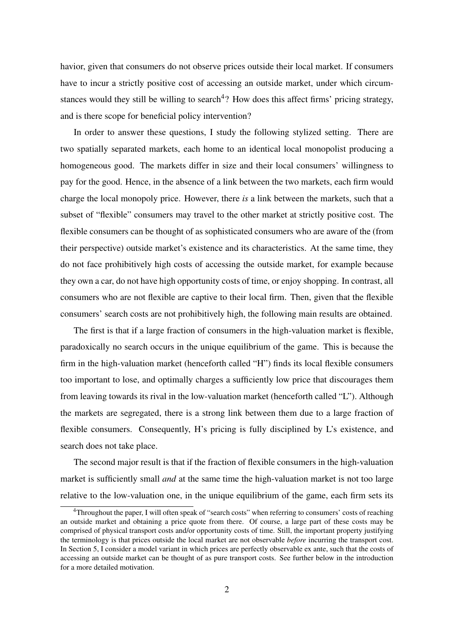havior, given that consumers do not observe prices outside their local market. If consumers have to incur a strictly positive cost of accessing an outside market, under which circumstances would they still be willing to search<sup>4</sup>? How does this affect firms' pricing strategy, and is there scope for beneficial policy intervention?

In order to answer these questions, I study the following stylized setting. There are two spatially separated markets, each home to an identical local monopolist producing a homogeneous good. The markets differ in size and their local consumers' willingness to pay for the good. Hence, in the absence of a link between the two markets, each firm would charge the local monopoly price. However, there *is* a link between the markets, such that a subset of "flexible" consumers may travel to the other market at strictly positive cost. The flexible consumers can be thought of as sophisticated consumers who are aware of the (from their perspective) outside market's existence and its characteristics. At the same time, they do not face prohibitively high costs of accessing the outside market, for example because they own a car, do not have high opportunity costs of time, or enjoy shopping. In contrast, all consumers who are not flexible are captive to their local firm. Then, given that the flexible consumers' search costs are not prohibitively high, the following main results are obtained.

The first is that if a large fraction of consumers in the high-valuation market is flexible, paradoxically no search occurs in the unique equilibrium of the game. This is because the firm in the high-valuation market (henceforth called "H") finds its local flexible consumers too important to lose, and optimally charges a sufficiently low price that discourages them from leaving towards its rival in the low-valuation market (henceforth called "L"). Although the markets are segregated, there is a strong link between them due to a large fraction of flexible consumers. Consequently, H's pricing is fully disciplined by L's existence, and search does not take place.

The second major result is that if the fraction of flexible consumers in the high-valuation market is sufficiently small *and* at the same time the high-valuation market is not too large relative to the low-valuation one, in the unique equilibrium of the game, each firm sets its

<sup>&</sup>lt;sup>4</sup>Throughout the paper, I will often speak of "search costs" when referring to consumers' costs of reaching an outside market and obtaining a price quote from there. Of course, a large part of these costs may be comprised of physical transport costs and/or opportunity costs of time. Still, the important property justifying the terminology is that prices outside the local market are not observable *before* incurring the transport cost. In Section 5, I consider a model variant in which prices are perfectly observable ex ante, such that the costs of accessing an outside market can be thought of as pure transport costs. See further below in the introduction for a more detailed motivation.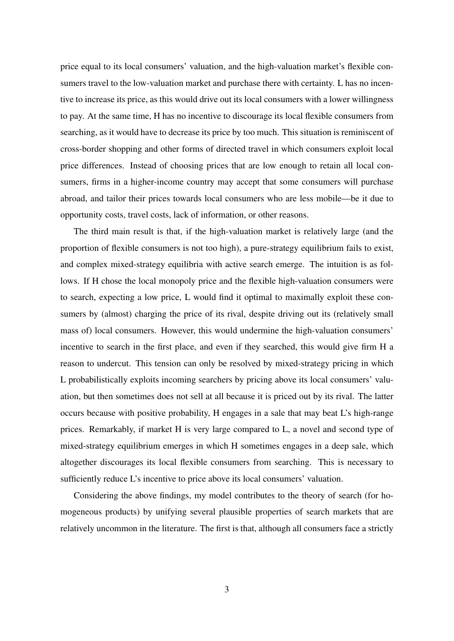price equal to its local consumers' valuation, and the high-valuation market's flexible consumers travel to the low-valuation market and purchase there with certainty. L has no incentive to increase its price, as this would drive out its local consumers with a lower willingness to pay. At the same time, H has no incentive to discourage its local flexible consumers from searching, as it would have to decrease its price by too much. This situation is reminiscent of cross-border shopping and other forms of directed travel in which consumers exploit local price differences. Instead of choosing prices that are low enough to retain all local consumers, firms in a higher-income country may accept that some consumers will purchase abroad, and tailor their prices towards local consumers who are less mobile—be it due to opportunity costs, travel costs, lack of information, or other reasons.

The third main result is that, if the high-valuation market is relatively large (and the proportion of flexible consumers is not too high), a pure-strategy equilibrium fails to exist, and complex mixed-strategy equilibria with active search emerge. The intuition is as follows. If H chose the local monopoly price and the flexible high-valuation consumers were to search, expecting a low price, L would find it optimal to maximally exploit these consumers by (almost) charging the price of its rival, despite driving out its (relatively small mass of) local consumers. However, this would undermine the high-valuation consumers' incentive to search in the first place, and even if they searched, this would give firm H a reason to undercut. This tension can only be resolved by mixed-strategy pricing in which L probabilistically exploits incoming searchers by pricing above its local consumers' valuation, but then sometimes does not sell at all because it is priced out by its rival. The latter occurs because with positive probability, H engages in a sale that may beat L's high-range prices. Remarkably, if market H is very large compared to L, a novel and second type of mixed-strategy equilibrium emerges in which H sometimes engages in a deep sale, which altogether discourages its local flexible consumers from searching. This is necessary to sufficiently reduce L's incentive to price above its local consumers' valuation.

Considering the above findings, my model contributes to the theory of search (for homogeneous products) by unifying several plausible properties of search markets that are relatively uncommon in the literature. The first is that, although all consumers face a strictly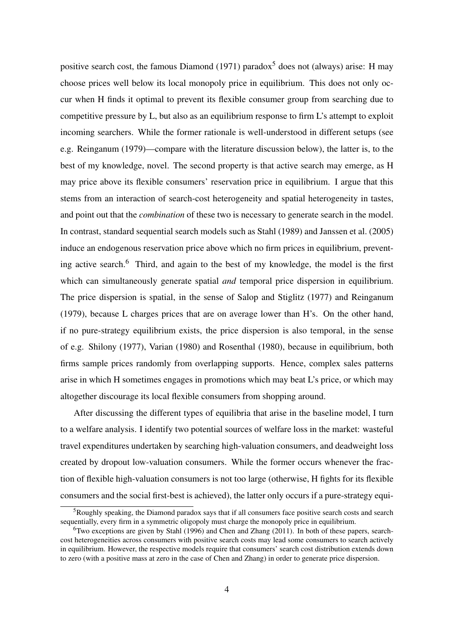positive search cost, the famous Diamond (1971) paradox<sup>5</sup> does not (always) arise: H may choose prices well below its local monopoly price in equilibrium. This does not only occur when H finds it optimal to prevent its flexible consumer group from searching due to competitive pressure by L, but also as an equilibrium response to firm L's attempt to exploit incoming searchers. While the former rationale is well-understood in different setups (see e.g. Reinganum (1979)—compare with the literature discussion below), the latter is, to the best of my knowledge, novel. The second property is that active search may emerge, as H may price above its flexible consumers' reservation price in equilibrium. I argue that this stems from an interaction of search-cost heterogeneity and spatial heterogeneity in tastes, and point out that the *combination* of these two is necessary to generate search in the model. In contrast, standard sequential search models such as Stahl (1989) and Janssen et al. (2005) induce an endogenous reservation price above which no firm prices in equilibrium, preventing active search.<sup>6</sup> Third, and again to the best of my knowledge, the model is the first which can simultaneously generate spatial *and* temporal price dispersion in equilibrium. The price dispersion is spatial, in the sense of Salop and Stiglitz (1977) and Reinganum (1979), because L charges prices that are on average lower than H's. On the other hand, if no pure-strategy equilibrium exists, the price dispersion is also temporal, in the sense of e.g. Shilony (1977), Varian (1980) and Rosenthal (1980), because in equilibrium, both firms sample prices randomly from overlapping supports. Hence, complex sales patterns arise in which H sometimes engages in promotions which may beat L's price, or which may altogether discourage its local flexible consumers from shopping around.

After discussing the different types of equilibria that arise in the baseline model, I turn to a welfare analysis. I identify two potential sources of welfare loss in the market: wasteful travel expenditures undertaken by searching high-valuation consumers, and deadweight loss created by dropout low-valuation consumers. While the former occurs whenever the fraction of flexible high-valuation consumers is not too large (otherwise, H fights for its flexible consumers and the social first-best is achieved), the latter only occurs if a pure-strategy equi-

<sup>5</sup>Roughly speaking, the Diamond paradox says that if all consumers face positive search costs and search sequentially, every firm in a symmetric oligopoly must charge the monopoly price in equilibrium.

 $6$ Two exceptions are given by Stahl (1996) and Chen and Zhang (2011). In both of these papers, searchcost heterogeneities across consumers with positive search costs may lead some consumers to search actively in equilibrium. However, the respective models require that consumers' search cost distribution extends down to zero (with a positive mass at zero in the case of Chen and Zhang) in order to generate price dispersion.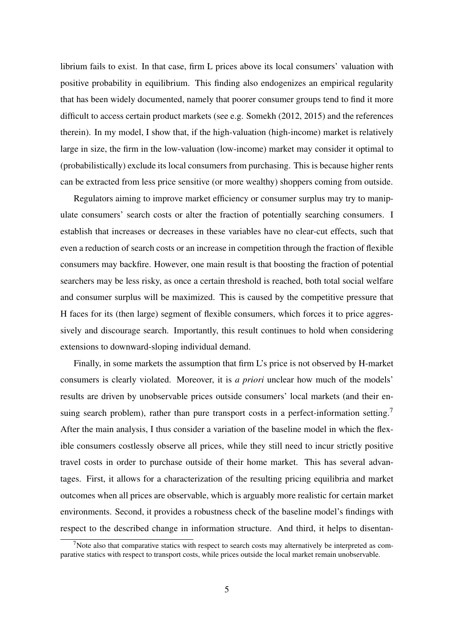librium fails to exist. In that case, firm L prices above its local consumers' valuation with positive probability in equilibrium. This finding also endogenizes an empirical regularity that has been widely documented, namely that poorer consumer groups tend to find it more difficult to access certain product markets (see e.g. Somekh (2012, 2015) and the references therein). In my model, I show that, if the high-valuation (high-income) market is relatively large in size, the firm in the low-valuation (low-income) market may consider it optimal to (probabilistically) exclude its local consumers from purchasing. This is because higher rents can be extracted from less price sensitive (or more wealthy) shoppers coming from outside.

Regulators aiming to improve market efficiency or consumer surplus may try to manipulate consumers' search costs or alter the fraction of potentially searching consumers. I establish that increases or decreases in these variables have no clear-cut effects, such that even a reduction of search costs or an increase in competition through the fraction of flexible consumers may backfire. However, one main result is that boosting the fraction of potential searchers may be less risky, as once a certain threshold is reached, both total social welfare and consumer surplus will be maximized. This is caused by the competitive pressure that H faces for its (then large) segment of flexible consumers, which forces it to price aggressively and discourage search. Importantly, this result continues to hold when considering extensions to downward-sloping individual demand.

Finally, in some markets the assumption that firm L's price is not observed by H-market consumers is clearly violated. Moreover, it is *a priori* unclear how much of the models' results are driven by unobservable prices outside consumers' local markets (and their ensuing search problem), rather than pure transport costs in a perfect-information setting.<sup>7</sup> After the main analysis, I thus consider a variation of the baseline model in which the flexible consumers costlessly observe all prices, while they still need to incur strictly positive travel costs in order to purchase outside of their home market. This has several advantages. First, it allows for a characterization of the resulting pricing equilibria and market outcomes when all prices are observable, which is arguably more realistic for certain market environments. Second, it provides a robustness check of the baseline model's findings with respect to the described change in information structure. And third, it helps to disentan-

<sup>&</sup>lt;sup>7</sup>Note also that comparative statics with respect to search costs may alternatively be interpreted as comparative statics with respect to transport costs, while prices outside the local market remain unobservable.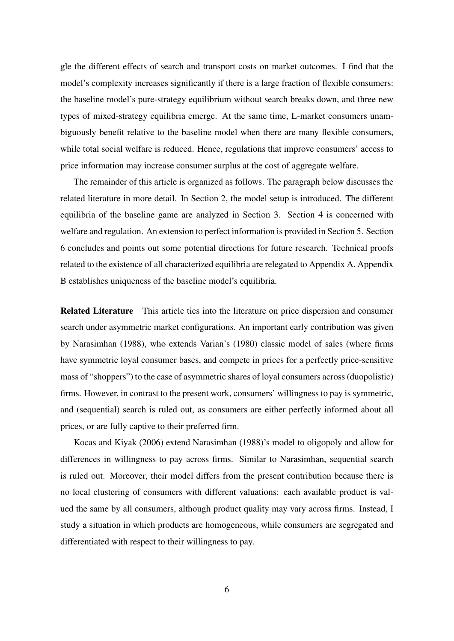gle the different effects of search and transport costs on market outcomes. I find that the model's complexity increases significantly if there is a large fraction of flexible consumers: the baseline model's pure-strategy equilibrium without search breaks down, and three new types of mixed-strategy equilibria emerge. At the same time, L-market consumers unambiguously benefit relative to the baseline model when there are many flexible consumers, while total social welfare is reduced. Hence, regulations that improve consumers' access to price information may increase consumer surplus at the cost of aggregate welfare.

The remainder of this article is organized as follows. The paragraph below discusses the related literature in more detail. In Section 2, the model setup is introduced. The different equilibria of the baseline game are analyzed in Section 3. Section 4 is concerned with welfare and regulation. An extension to perfect information is provided in Section 5. Section 6 concludes and points out some potential directions for future research. Technical proofs related to the existence of all characterized equilibria are relegated to Appendix A. Appendix B establishes uniqueness of the baseline model's equilibria.

Related Literature This article ties into the literature on price dispersion and consumer search under asymmetric market configurations. An important early contribution was given by Narasimhan (1988), who extends Varian's (1980) classic model of sales (where firms have symmetric loyal consumer bases, and compete in prices for a perfectly price-sensitive mass of "shoppers") to the case of asymmetric shares of loyal consumers across (duopolistic) firms. However, in contrast to the present work, consumers' willingness to pay is symmetric, and (sequential) search is ruled out, as consumers are either perfectly informed about all prices, or are fully captive to their preferred firm.

Kocas and Kiyak (2006) extend Narasimhan (1988)'s model to oligopoly and allow for differences in willingness to pay across firms. Similar to Narasimhan, sequential search is ruled out. Moreover, their model differs from the present contribution because there is no local clustering of consumers with different valuations: each available product is valued the same by all consumers, although product quality may vary across firms. Instead, I study a situation in which products are homogeneous, while consumers are segregated and differentiated with respect to their willingness to pay.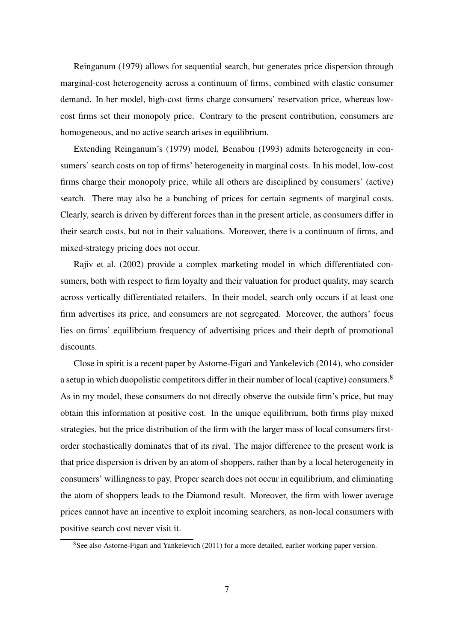Reinganum (1979) allows for sequential search, but generates price dispersion through marginal-cost heterogeneity across a continuum of firms, combined with elastic consumer demand. In her model, high-cost firms charge consumers' reservation price, whereas lowcost firms set their monopoly price. Contrary to the present contribution, consumers are homogeneous, and no active search arises in equilibrium.

Extending Reinganum's (1979) model, Benabou (1993) admits heterogeneity in consumers' search costs on top of firms' heterogeneity in marginal costs. In his model, low-cost firms charge their monopoly price, while all others are disciplined by consumers' (active) search. There may also be a bunching of prices for certain segments of marginal costs. Clearly, search is driven by different forces than in the present article, as consumers differ in their search costs, but not in their valuations. Moreover, there is a continuum of firms, and mixed-strategy pricing does not occur.

Rajiv et al. (2002) provide a complex marketing model in which differentiated consumers, both with respect to firm loyalty and their valuation for product quality, may search across vertically differentiated retailers. In their model, search only occurs if at least one firm advertises its price, and consumers are not segregated. Moreover, the authors' focus lies on firms' equilibrium frequency of advertising prices and their depth of promotional discounts.

Close in spirit is a recent paper by Astorne-Figari and Yankelevich (2014), who consider a setup in which duopolistic competitors differ in their number of local (captive) consumers.<sup>8</sup> As in my model, these consumers do not directly observe the outside firm's price, but may obtain this information at positive cost. In the unique equilibrium, both firms play mixed strategies, but the price distribution of the firm with the larger mass of local consumers firstorder stochastically dominates that of its rival. The major difference to the present work is that price dispersion is driven by an atom of shoppers, rather than by a local heterogeneity in consumers' willingness to pay. Proper search does not occur in equilibrium, and eliminating the atom of shoppers leads to the Diamond result. Moreover, the firm with lower average prices cannot have an incentive to exploit incoming searchers, as non-local consumers with positive search cost never visit it.

<sup>&</sup>lt;sup>8</sup>See also Astorne-Figari and Yankelevich (2011) for a more detailed, earlier working paper version.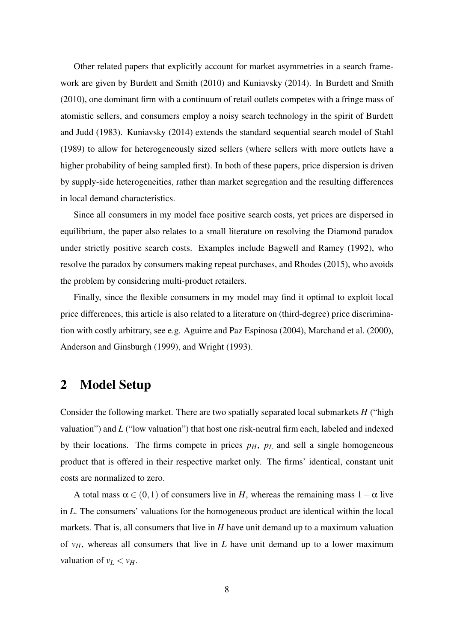Other related papers that explicitly account for market asymmetries in a search framework are given by Burdett and Smith (2010) and Kuniavsky (2014). In Burdett and Smith (2010), one dominant firm with a continuum of retail outlets competes with a fringe mass of atomistic sellers, and consumers employ a noisy search technology in the spirit of Burdett and Judd (1983). Kuniavsky (2014) extends the standard sequential search model of Stahl (1989) to allow for heterogeneously sized sellers (where sellers with more outlets have a higher probability of being sampled first). In both of these papers, price dispersion is driven by supply-side heterogeneities, rather than market segregation and the resulting differences in local demand characteristics.

Since all consumers in my model face positive search costs, yet prices are dispersed in equilibrium, the paper also relates to a small literature on resolving the Diamond paradox under strictly positive search costs. Examples include Bagwell and Ramey (1992), who resolve the paradox by consumers making repeat purchases, and Rhodes (2015), who avoids the problem by considering multi-product retailers.

Finally, since the flexible consumers in my model may find it optimal to exploit local price differences, this article is also related to a literature on (third-degree) price discrimination with costly arbitrary, see e.g. Aguirre and Paz Espinosa (2004), Marchand et al. (2000), Anderson and Ginsburgh (1999), and Wright (1993).

### 2 Model Setup

Consider the following market. There are two spatially separated local submarkets *H* ("high valuation") and *L* ("low valuation") that host one risk-neutral firm each, labeled and indexed by their locations. The firms compete in prices  $p<sub>H</sub>$ ,  $p<sub>L</sub>$  and sell a single homogeneous product that is offered in their respective market only. The firms' identical, constant unit costs are normalized to zero.

A total mass  $\alpha \in (0,1)$  of consumers live in *H*, whereas the remaining mass  $1-\alpha$  live in *L*. The consumers' valuations for the homogeneous product are identical within the local markets. That is, all consumers that live in *H* have unit demand up to a maximum valuation of  $v_H$ , whereas all consumers that live in *L* have unit demand up to a lower maximum valuation of  $v_L < v_H$ .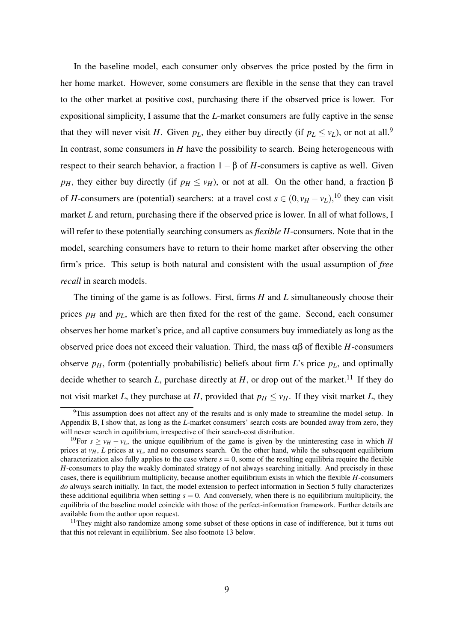In the baseline model, each consumer only observes the price posted by the firm in her home market. However, some consumers are flexible in the sense that they can travel to the other market at positive cost, purchasing there if the observed price is lower. For expositional simplicity, I assume that the *L*-market consumers are fully captive in the sense that they will never visit *H*. Given  $p_L$ , they either buy directly (if  $p_L \le v_L$ ), or not at all.<sup>9</sup> In contrast, some consumers in *H* have the possibility to search. Being heterogeneous with respect to their search behavior, a fraction  $1-\beta$  of *H*-consumers is captive as well. Given *p<sub>H</sub>*, they either buy directly (if  $p_H \leq v_H$ ), or not at all. On the other hand, a fraction  $\beta$ of *H*-consumers are (potential) searchers: at a travel cost  $s \in (0, v_H - v_L)$ ,<sup>10</sup> they can visit market *L* and return, purchasing there if the observed price is lower. In all of what follows, I will refer to these potentially searching consumers as *flexible H*-consumers. Note that in the model, searching consumers have to return to their home market after observing the other firm's price. This setup is both natural and consistent with the usual assumption of *free recall* in search models.

The timing of the game is as follows. First, firms *H* and *L* simultaneously choose their prices  $p<sub>H</sub>$  and  $p<sub>L</sub>$ , which are then fixed for the rest of the game. Second, each consumer observes her home market's price, and all captive consumers buy immediately as long as the observed price does not exceed their valuation. Third, the mass  $\alpha\beta$  of flexible *H*-consumers observe  $p<sub>H</sub>$ , form (potentially probabilistic) beliefs about firm *L*'s price  $p<sub>L</sub>$ , and optimally decide whether to search  $L$ , purchase directly at  $H$ , or drop out of the market.<sup>11</sup> If they do not visit market *L*, they purchase at *H*, provided that  $p_H \leq v_H$ . If they visit market *L*, they

<sup>&</sup>lt;sup>9</sup>This assumption does not affect any of the results and is only made to streamline the model setup. In Appendix B, I show that, as long as the *L*-market consumers' search costs are bounded away from zero, they will never search in equilibrium, irrespective of their search-cost distribution.

<sup>&</sup>lt;sup>10</sup>For  $s \ge v_H - v_L$ , the unique equilibrium of the game is given by the uninteresting case in which *H* prices at  $v_H$ , *L* prices at  $v_L$ , and no consumers search. On the other hand, while the subsequent equilibrium characterization also fully applies to the case where  $s = 0$ , some of the resulting equilibria require the flexible *H*-consumers to play the weakly dominated strategy of not always searching initially. And precisely in these cases, there is equilibrium multiplicity, because another equilibrium exists in which the flexible *H*-consumers *do* always search initially. In fact, the model extension to perfect information in Section 5 fully characterizes these additional equilibria when setting  $s = 0$ . And conversely, when there is no equilibrium multiplicity, the equilibria of the baseline model coincide with those of the perfect-information framework. Further details are available from the author upon request.

 $11$ They might also randomize among some subset of these options in case of indifference, but it turns out that this not relevant in equilibrium. See also footnote 13 below.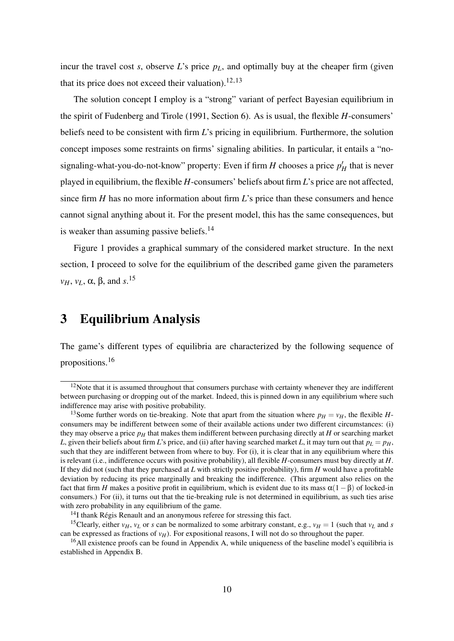incur the travel cost *s*, observe *L*'s price  $p<sub>L</sub>$ , and optimally buy at the cheaper firm (given that its price does not exceed their valuation).<sup>12,13</sup>

The solution concept I employ is a "strong" variant of perfect Bayesian equilibrium in the spirit of Fudenberg and Tirole (1991, Section 6). As is usual, the flexible *H*-consumers' beliefs need to be consistent with firm *L*'s pricing in equilibrium. Furthermore, the solution concept imposes some restraints on firms' signaling abilities. In particular, it entails a "nosignaling-what-you-do-not-know" property: Even if firm  $H$  chooses a price  $p'_H$  that is never played in equilibrium, the flexible *H*-consumers' beliefs about firm *L*'s price are not affected, since firm *H* has no more information about firm *L*'s price than these consumers and hence cannot signal anything about it. For the present model, this has the same consequences, but is weaker than assuming passive beliefs. $14$ 

Figure 1 provides a graphical summary of the considered market structure. In the next section, I proceed to solve for the equilibrium of the described game given the parameters *vH*, *vL*, α, β, and *s*. 15

### 3 Equilibrium Analysis

The game's different types of equilibria are characterized by the following sequence of propositions.<sup>16</sup>

 $12$ Note that it is assumed throughout that consumers purchase with certainty whenever they are indifferent between purchasing or dropping out of the market. Indeed, this is pinned down in any equilibrium where such indifference may arise with positive probability.

<sup>&</sup>lt;sup>13</sup>Some further words on tie-breaking. Note that apart from the situation where  $p_H = v_H$ , the flexible *H*consumers may be indifferent between some of their available actions under two different circumstances: (i) they may observe a price  $p<sub>H</sub>$  that makes them indifferent between purchasing directly at *H* or searching market *L*, given their beliefs about firm *L*'s price, and (ii) after having searched market *L*, it may turn out that  $p_L = p_H$ , such that they are indifferent between from where to buy. For (i), it is clear that in any equilibrium where this is relevant (i.e., indifference occurs with positive probability), all flexible *H*-consumers must buy directly at *H*. If they did not (such that they purchased at *L* with strictly positive probability), firm *H* would have a profitable deviation by reducing its price marginally and breaking the indifference. (This argument also relies on the fact that firm *H* makes a positive profit in equilibrium, which is evident due to its mass  $\alpha(1-\beta)$  of locked-in consumers.) For (ii), it turns out that the tie-breaking rule is not determined in equilibrium, as such ties arise with zero probability in any equilibrium of the game.

<sup>&</sup>lt;sup>14</sup>I thank Régis Renault and an anonymous referee for stressing this fact.

<sup>&</sup>lt;sup>15</sup>Clearly, either *v<sub>H</sub>*, *v<sub>L</sub>* or *s* can be normalized to some arbitrary constant, e.g., *v<sub>H</sub>* = 1 (such that *v<sub>L</sub>* and *s* can be expressed as fractions of  $v_H$ ). For expositional reasons, I will not do so throughout the paper.

<sup>&</sup>lt;sup>16</sup>All existence proofs can be found in Appendix A, while uniqueness of the baseline model's equilibria is established in Appendix B.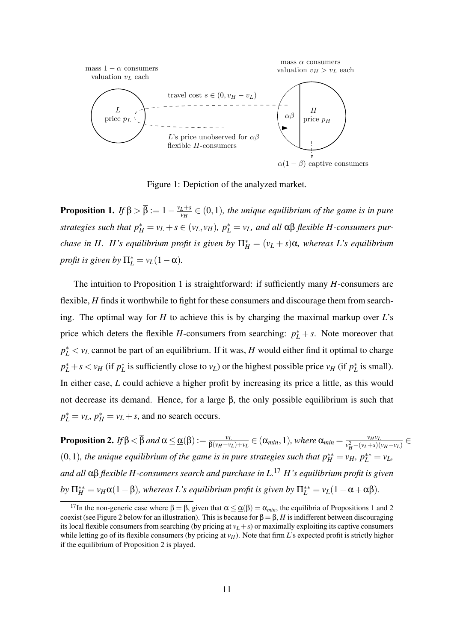

Figure 1: Depiction of the analyzed market.

**Proposition 1.** *If*  $\beta > \overline{\beta} := 1 - \frac{v_L + s}{v_H}$  $\frac{L+S}{v_H} \in (0,1)$ , the unique equilibrium of the game is in pure *strategies such that*  $p_H^* = v_L + s \in (v_L, v_H)$ ,  $p_L^* = v_L$ , and all  $\alpha\beta$  *flexible H-consumers purchase in H. H's equilibrium profit is given by*  $\Pi_H^* = (v_L + s)\alpha$ *, whereas L's equilibrium profit is given by*  $\Pi_L^* = v_L(1-\alpha)$ *.* 

The intuition to Proposition 1 is straightforward: if sufficiently many *H*-consumers are flexible, *H* finds it worthwhile to fight for these consumers and discourage them from searching. The optimal way for *H* to achieve this is by charging the maximal markup over *L*'s price which deters the flexible *H*-consumers from searching:  $p_L^* + s$ . Note moreover that  $p_L^* < v_L$  cannot be part of an equilibrium. If it was, *H* would either find it optimal to charge  $p_L^* + s < v_H$  (if  $p_L^*$  is sufficiently close to  $v_L$ ) or the highest possible price  $v_H$  (if  $p_L^*$  is small). In either case, *L* could achieve a higher profit by increasing its price a little, as this would not decrease its demand. Hence, for a large β, the only possible equilibrium is such that  $p_L^* = v_L$ ,  $p_H^* = v_L + s$ , and no search occurs.

**Proposition 2.** *If* β <  $\overline{\beta}$  *and*  $\alpha \leq \underline{\alpha}(\beta) := \frac{v_L}{\beta(v_R - v_L)}$  $\frac{v_L}{\beta(v_H - v_L) + v_L} \in (\alpha_{min}, 1)$ *, where*  $\alpha_{min} = \frac{v_H v_L}{v_H^2 - (v_L + s)}$  $\frac{v_H v_L}{v_H^2-(v_L+s)(v_H-v_L)}$  ∈  $(0,1)$ , the unique equilibrium of the game is in pure strategies such that  $p_H^{**} = v_H$ ,  $p_L^{**} = v_L$ , *and all* αβ *flexible H-consumers search and purchase in L.*<sup>17</sup> *H's equilibrium profit is given*  $by \Pi_H^{**} = v_H \alpha (1 - \beta)$ , whereas L's equilibrium profit is given by  $\Pi_L^{**} = v_L (1 - \alpha + \alpha \beta)$ .

<sup>&</sup>lt;sup>17</sup>In the non-generic case where  $\beta = \overline{\beta}$ , given that  $\alpha \leq \underline{\alpha}(\overline{\beta}) = \alpha_{min}$ , the equilibria of Propositions 1 and 2 coexist (see Figure 2 below for an illustration). This is because for  $\beta = \overline{\beta}$ , *H* is indifferent between discouraging its local flexible consumers from searching (by pricing at  $v_L + s$ ) or maximally exploiting its captive consumers while letting go of its flexible consumers (by pricing at  $v_H$ ). Note that firm *L*'s expected profit is strictly higher if the equilibrium of Proposition 2 is played.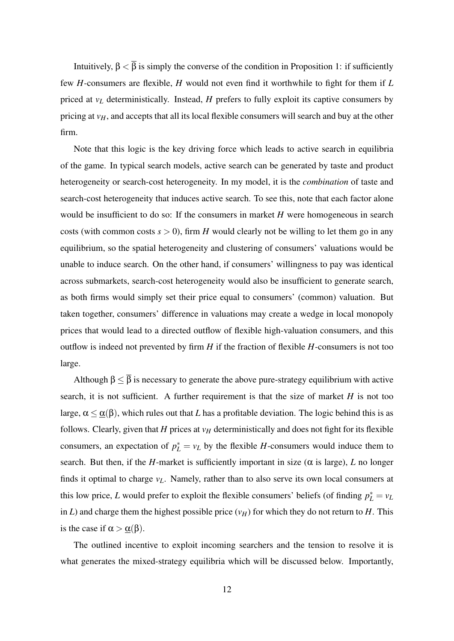Intuitively,  $\beta < \overline{\beta}$  is simply the converse of the condition in Proposition 1: if sufficiently few *H*-consumers are flexible, *H* would not even find it worthwhile to fight for them if *L* priced at *v<sup>L</sup>* deterministically. Instead, *H* prefers to fully exploit its captive consumers by pricing at *vH*, and accepts that all its local flexible consumers will search and buy at the other firm.

Note that this logic is the key driving force which leads to active search in equilibria of the game. In typical search models, active search can be generated by taste and product heterogeneity or search-cost heterogeneity. In my model, it is the *combination* of taste and search-cost heterogeneity that induces active search. To see this, note that each factor alone would be insufficient to do so: If the consumers in market *H* were homogeneous in search costs (with common costs  $s > 0$ ), firm *H* would clearly not be willing to let them go in any equilibrium, so the spatial heterogeneity and clustering of consumers' valuations would be unable to induce search. On the other hand, if consumers' willingness to pay was identical across submarkets, search-cost heterogeneity would also be insufficient to generate search, as both firms would simply set their price equal to consumers' (common) valuation. But taken together, consumers' difference in valuations may create a wedge in local monopoly prices that would lead to a directed outflow of flexible high-valuation consumers, and this outflow is indeed not prevented by firm *H* if the fraction of flexible *H*-consumers is not too large.

Although  $\beta \leq \overline{\beta}$  is necessary to generate the above pure-strategy equilibrium with active search, it is not sufficient. A further requirement is that the size of market  $H$  is not too large,  $\alpha \leq \alpha(\beta)$ , which rules out that *L* has a profitable deviation. The logic behind this is as follows. Clearly, given that  $H$  prices at  $v_H$  deterministically and does not fight for its flexible consumers, an expectation of  $p_L^* = v_L$  by the flexible *H*-consumers would induce them to search. But then, if the *H*-market is sufficiently important in size ( $\alpha$  is large), *L* no longer finds it optimal to charge *vL*. Namely, rather than to also serve its own local consumers at this low price, *L* would prefer to exploit the flexible consumers' beliefs (of finding  $p_L^* = v_L$ in *L*) and charge them the highest possible price  $(v_H)$  for which they do not return to *H*. This is the case if  $\alpha > \underline{\alpha}(\beta)$ .

The outlined incentive to exploit incoming searchers and the tension to resolve it is what generates the mixed-strategy equilibria which will be discussed below. Importantly,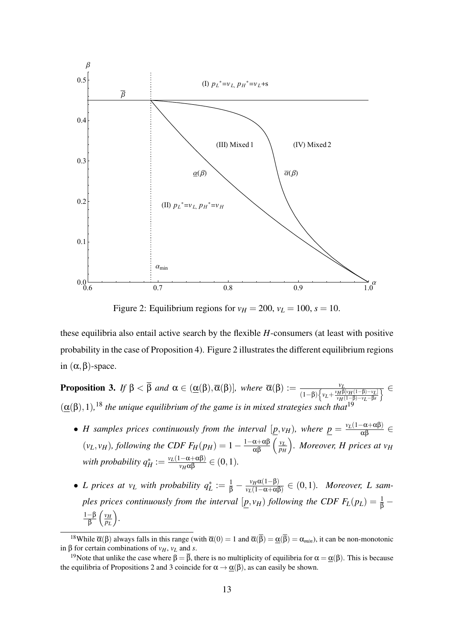

Figure 2: Equilibrium regions for  $v_H = 200$ ,  $v_L = 100$ ,  $s = 10$ .

these equilibria also entail active search by the flexible *H*-consumers (at least with positive probability in the case of Proposition 4). Figure 2 illustrates the different equilibrium regions in  $(α, β)$ -space.

**Proposition 3.** If  $\beta < \overline{\beta}$  and  $\alpha \in (\underline{\alpha}(\beta), \overline{\alpha}(\beta))$ , where  $\overline{\alpha}(\beta) := \frac{\nu_B}{\alpha + \beta}$  $(1-\beta)\left\{v_L+\frac{v_H\beta[v_H(1-\beta)-v_L]}{v_H(1-\beta)-v_L-\beta s}\right\}$ *vH*(1−β)−*vL*−β*s*  $\overline{\mathfrak{z}} \in$  $(\underline{\alpha}(\beta), 1),^{18}$  the unique equilibrium of the game is in mixed strategies such that<sup>19</sup>

- *H* samples prices continuously from the interval  $[\underline{p}, v_H)$ , where  $\underline{p} = \frac{v_L(1-\alpha+\alpha\beta)}{\alpha\beta} \in$  $(v_L, v_H)$ , following the CDF  $F_H(p_H) = 1 - \frac{1 - \alpha + \alpha \beta}{\alpha \beta} \left( \frac{v_L}{p_H} \right)$ *pH . Moreover, H prices at v<sup>H</sup>*  $W$ *ith probability*  $q_H^* := \frac{v_L(1-\alpha+\alpha\beta)}{v_H\alpha\beta} \in (0,1)$ *.*
- *L* prices at  $v_L$  with probability  $q_L^* := \frac{1}{\beta} \frac{v_H \alpha (1-\beta)}{v_L(1-\alpha+\alpha)}$  $\frac{v_H\alpha(1-p)}{v_L(1-\alpha+\alpha\beta)} \in (0,1)$ *. Moreover, L samples prices continuously from the interval*  $[\underline{p}, v_H)$  *following the CDF*  $F_L(p_L) = \frac{1}{\beta} -$ 1−β —β  $\left(\frac{v_H}{p_L}\right)$ *pL .*

<sup>&</sup>lt;sup>18</sup>While  $\overline{\alpha}(\beta)$  always falls in this range (with  $\overline{\alpha}(0) = 1$  and  $\overline{\alpha}(\overline{\beta}) = \underline{\alpha}(\overline{\beta}) = \alpha_{min}$ ), it can be non-monotonic in β for certain combinations of *vH*, *v<sup>L</sup>* and *s*.

<sup>&</sup>lt;sup>19</sup>Note that unlike the case where  $\beta = \overline{\beta}$ , there is no multiplicity of equilibria for  $\alpha = \alpha(\beta)$ . This is because the equilibria of Propositions 2 and 3 coincide for  $\alpha \rightarrow \alpha(\beta)$ , as can easily be shown.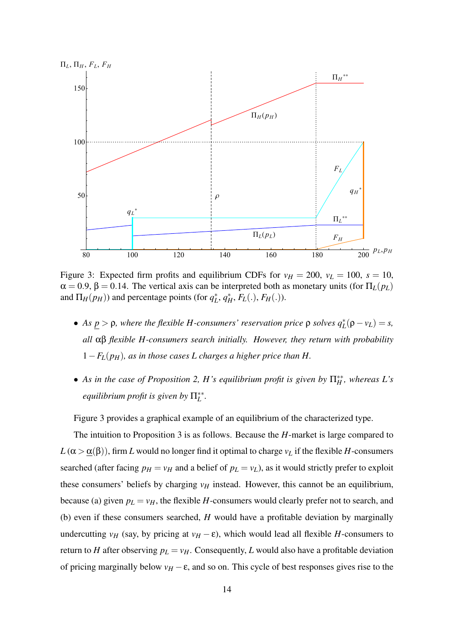

Figure 3: Expected firm profits and equilibrium CDFs for  $v_H = 200$ ,  $v_L = 100$ ,  $s = 10$ ,  $\alpha = 0.9$ ,  $\beta = 0.14$ . The vertical axis can be interpreted both as monetary units (for  $\Pi_L(p_L)$ ) and  $\Pi_H(p_H)$ ) and percentage points (for  $q_L^*$ ,  $q_H^*$ ,  $F_L(.)$ ,  $F_H(.)$ ).

- $\bullet$  *As* <u>*p* >  $\rho$ , where the flexible *H*-consumers' reservation price  $\rho$  solves  $q_L^*(\rho v_L) = s$ ,</u> *all* αβ *flexible H-consumers search initially. However, they return with probability*  $1-F<sub>L</sub>(p<sub>H</sub>)$ *, as in those cases L charges a higher price than H.*
- As in the case of Proposition 2, *H*'s equilibrium profit is given by  $\Pi_H^{**}$ , whereas *L*'s *equilibrium profit is given by*  $\Pi_L^{**}$ .

Figure 3 provides a graphical example of an equilibrium of the characterized type.

The intuition to Proposition 3 is as follows. Because the *H*-market is large compared to  $L(\alpha > \underline{\alpha}(\beta))$ , firm *L* would no longer find it optimal to charge  $v_L$  if the flexible *H*-consumers searched (after facing  $p_H = v_H$  and a belief of  $p_L = v_L$ ), as it would strictly prefer to exploit these consumers' beliefs by charging  $v_H$  instead. However, this cannot be an equilibrium, because (a) given  $p_L = v_H$ , the flexible *H*-consumers would clearly prefer not to search, and (b) even if these consumers searched, *H* would have a profitable deviation by marginally undercutting  $v_H$  (say, by pricing at  $v_H - \varepsilon$ ), which would lead all flexible *H*-consumers to return to *H* after observing  $p_L = v_H$ . Consequently, *L* would also have a profitable deviation of pricing marginally below  $v_H - \varepsilon$ , and so on. This cycle of best responses gives rise to the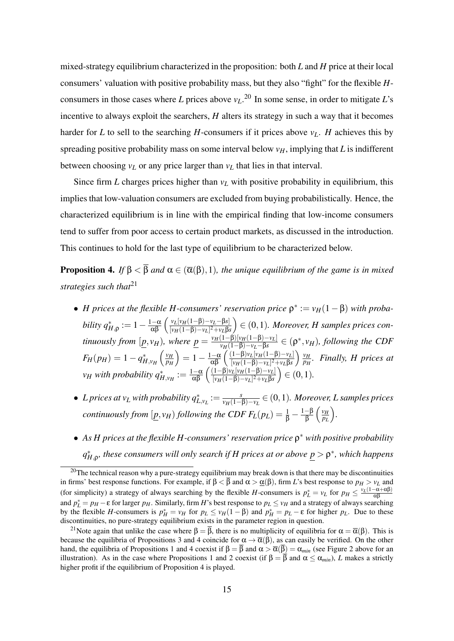mixed-strategy equilibrium characterized in the proposition: both *L* and *H* price at their local consumers' valuation with positive probability mass, but they also "fight" for the flexible *H*consumers in those cases where *L* prices above *vL*. <sup>20</sup> In some sense, in order to mitigate *L*'s incentive to always exploit the searchers, *H* alters its strategy in such a way that it becomes harder for *L* to sell to the searching *H*-consumers if it prices above  $v_L$ . *H* achieves this by spreading positive probability mass on some interval below  $v_H$ , implying that *L* is indifferent between choosing  $v_L$  or any price larger than  $v_L$  that lies in that interval.

Since firm *L* charges prices higher than  $v_L$  with positive probability in equilibrium, this implies that low-valuation consumers are excluded from buying probabilistically. Hence, the characterized equilibrium is in line with the empirical finding that low-income consumers tend to suffer from poor access to certain product markets, as discussed in the introduction. This continues to hold for the last type of equilibrium to be characterized below.

**Proposition 4.** *If*  $\beta < \overline{\beta}$  *and*  $\alpha \in (\overline{\alpha}(\beta), 1)$ *, the unique equilibrium of the game is in mixed strategies such that*<sup>21</sup>

- *H* prices at the flexible *H*-consumers' reservation price  $\rho^* := v_H(1-\beta)$  with proba $bility q_{H,\rho}^* := 1 - \frac{1-\alpha}{\alpha\beta} \left( \frac{v_L[v_H(1-\beta)-v_L-\beta s]}{[v_H(1-\beta)-v_L]^2+v_L\beta s} \right)$  $\sqrt{[\nu_H(1-\beta)-\nu_L]^2+\nu_L\beta s}$  ∈ (0,1)*. Moreover, H samples prices continuously from*  $[p, v_H)$ *, where*  $p = \frac{v_H(1-\beta)[v_H(1-\beta)-v_L]}{v_H(1-\beta)-v_L-\beta s}$  $v_H(1-\beta)-v_L-\beta s$  ∈ ( $ρ^*$ ,  $v_H$ ), following the CDF  $F_H(p_H) = 1 - q_{H,\nu_H}^*\left(\frac{\nu_H}{p_H}\right)$ *pH*  $= 1 - \frac{1-\alpha}{\alpha\beta} \left( \frac{(1-\beta)v_L[v_H(1-\beta)-v_L]}{[v_H(1-\beta)-v_L]^2+v_L\beta s} \right)$ [*vH*(1−β)−*vL*] <sup>2</sup>+*vL*β*s*  $\frac{v_H}{\sqrt{2}}$ *pH . Finally, H prices at*  $v_H$  *with probability*  $q_{H,v_H}^* := \frac{1-\alpha}{\alpha\beta} \left( \frac{(1-\beta)v_L[v_H(1-\beta)-v_L]}{[v_H(1-\beta)-v_L]^2+v_L\beta s} \right)$  $[v_H(1-\beta)-v_L]^2+v_L\beta s$  $) ∈ (0,1)$ *.*
- *L* prices at  $v_L$  with probability  $q_{L,v_L}^* := \frac{s}{v_H(1 s)}$ *vH*(1−β)−*vL* ∈ (0,1)*. Moreover, L samples prices continuously from*  $[\underline{p}, v_H)$  *following the CDF*  $F_L(p_L) = \frac{1}{\beta} - \frac{1-\beta}{\beta}$ <u>-β</u>  $\left(\frac{v_H}{p_L}\right)$ *pL .*
- As *H* prices at the flexible *H*-consumers' reservation price  $ρ^*$  with positive probability *q*<sup>\*</sup><sub>*A*</sub>,*ρ*, *these consumers will only search if H prices at or above*  $p$  *> ρ<sup>\*</sup>, <i>which happens*

 $20$ The technical reason why a pure-strategy equilibrium may break down is that there may be discontinuities in firms' best response functions. For example, if  $\beta < \overline{\beta}$  and  $\alpha > \underline{\alpha}(\beta)$ , firm *L*'s best response to  $p_H > v_L$  and (for simplicity) a strategy of always searching by the flexible *H*-consumers is  $p_L^* = v_L$  for  $p_H \leq \frac{v_L(1-\alpha+\alpha\beta)}{\alpha\beta}$ and  $p_L^* = p_H - \varepsilon$  for larger  $p_H$ . Similarly, firm *H*'s best response to  $p_L \le v_H$  and a strategy of always searching by the flexible *H*-consumers is  $p_H^* = ν_H$  for  $p_L ≤ ν_H(1−β)$  and  $p_H^* = p_L − ε$  for higher  $p_L$ . Due to these discontinuities, no pure-strategy equilibrium exists in the parameter region in question.

<sup>&</sup>lt;sup>21</sup>Note again that unlike the case where  $\beta = \overline{\beta}$ , there is no multiplicity of equilibria for  $\alpha = \overline{\alpha}(\beta)$ . This is because the equilibria of Propositions 3 and 4 coincide for  $\alpha \to \overline{\alpha}(\beta)$ , as can easily be verified. On the other hand, the equilibria of Propositions 1 and 4 coexist if  $\beta = \overline{\beta}$  and  $\alpha > \overline{\alpha}(\overline{\beta}) = \alpha_{min}$  (see Figure 2 above for an illustration). As in the case where Propositions 1 and 2 coexist (if  $\beta = \overline{\beta}$  and  $\alpha \le \alpha_{min}$ ), *L* makes a strictly higher profit if the equilibrium of Proposition 4 is played.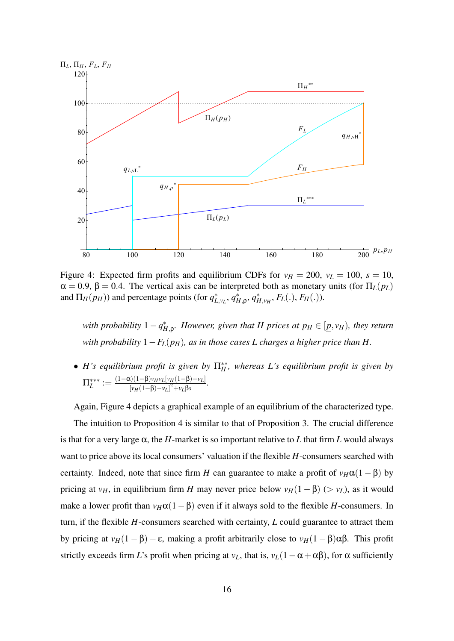

Figure 4: Expected firm profits and equilibrium CDFs for  $v_H = 200$ ,  $v_L = 100$ ,  $s = 10$ ,  $\alpha = 0.9$ ,  $\beta = 0.4$ . The vertical axis can be interpreted both as monetary units (for  $\Pi_L(p_L)$ ) and  $\Pi_H(p_H)$ ) and percentage points (for  $q_{L,v_L}^*$ ,  $q_{H,\rho}^*$ ,  $q_{H,v_H}^*$ ,  $F_L(.)$ ,  $F_H(.)$ ).

*with probability*  $1 - q_{H,\rho}^*$ *. However, given that H prices at*  $p_H \in [p, v_H)$ *, they return with probability*  $1-F<sub>L</sub>(p<sub>H</sub>)$ *, as in those cases L charges a higher price than H.* 

• *H*'s equilibrium profit is given by  $\Pi_H^*$ , whereas *L*'s equilibrium profit is given by  $\Pi_L^{***} := \frac{(1-\alpha)(1-\beta)v_Hv_L[v_H(1-\beta)-v_L]}{[v_H(1-\beta)-v_L]^2+v_L\beta s}$  $\frac{[\nu_H(1-\beta)-\nu_L]^2+\nu_L\beta s}{[\nu_H(1-\beta)-\nu_L]^2+\nu_L\beta s}$ .

Again, Figure 4 depicts a graphical example of an equilibrium of the characterized type.

The intuition to Proposition 4 is similar to that of Proposition 3. The crucial difference is that for a very large  $\alpha$ , the *H*-market is so important relative to *L* that firm *L* would always want to price above its local consumers' valuation if the flexible *H*-consumers searched with certainty. Indeed, note that since firm *H* can guarantee to make a profit of  $v_H\alpha(1-\beta)$  by pricing at *v<sub>H</sub>*, in equilibrium firm *H* may never price below  $v_H(1 - \beta)$  (>  $v_L$ ), as it would make a lower profit than  $v_H\alpha(1-\beta)$  even if it always sold to the flexible *H*-consumers. In turn, if the flexible *H*-consumers searched with certainty, *L* could guarantee to attract them by pricing at *vH*(1 − β) − ε, making a profit arbitrarily close to *vH*(1 − β)αβ. This profit strictly exceeds firm *L*'s profit when pricing at  $v_L$ , that is,  $v_L(1-\alpha+\alpha\beta)$ , for  $\alpha$  sufficiently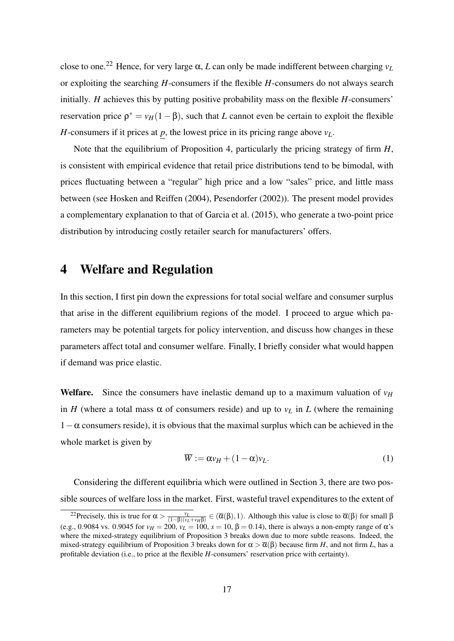close to one.<sup>22</sup> Hence, for very large  $\alpha$ , *L* can only be made indifferent between charging  $v_L$ or exploiting the searching *H*-consumers if the flexible *H*-consumers do not always search initially. *H* achieves this by putting positive probability mass on the flexible *H*-consumers' reservation price  $\rho^* = v_H(1-\beta)$ , such that *L* cannot even be certain to exploit the flexible *H*-consumers if it prices at  $p$ , the lowest price in its pricing range above  $v_L$ .

Note that the equilibrium of Proposition 4, particularly the pricing strategy of firm *H*, is consistent with empirical evidence that retail price distributions tend to be bimodal, with prices fluctuating between a "regular" high price and a low "sales" price, and little mass between (see Hosken and Reiffen (2004), Pesendorfer (2002)). The present model provides a complementary explanation to that of Garcia et al. (2015), who generate a two-point price distribution by introducing costly retailer search for manufacturers' offers.

### 4 Welfare and Regulation

In this section, I first pin down the expressions for total social welfare and consumer surplus that arise in the different equilibrium regions of the model. I proceed to argue which parameters may be potential targets for policy intervention, and discuss how changes in these parameters affect total and consumer welfare. Finally, I briefly consider what would happen if demand was price elastic.

**Welfare.** Since the consumers have inelastic demand up to a maximum valuation of  $v_H$ in *H* (where a total mass  $\alpha$  of consumers reside) and up to  $v_L$  in *L* (where the remaining  $1-\alpha$  consumers reside), it is obvious that the maximal surplus which can be achieved in the whole market is given by

$$
\overline{W} := \alpha v_H + (1 - \alpha)v_L. \tag{1}
$$

Considering the different equilibria which were outlined in Section 3, there are two possible sources of welfare loss in the market. First, wasteful travel expenditures to the extent of

<sup>&</sup>lt;sup>22</sup>Precisely, this is true for  $\alpha > \frac{v_L}{(1-\beta)(v_L+v_H\beta)}$  ∈ ( $\overline{\alpha}(\beta)$ , 1). Although this value is close to  $\overline{\alpha}(\beta)$  for small β (e.g., 0.9084 vs. 0.9045 for  $v_H = 200$ ,  $v_L = 100$ ,  $s = 10$ ,  $β = 0.14$ ), there is always a non-empty range of α's where the mixed-strategy equilibrium of Proposition 3 breaks down due to more subtle reasons. Indeed, the mixed-strategy equilibrium of Proposition 3 breaks down for  $\alpha > \overline{\alpha}(\beta)$  because firm *H*, and not firm *L*, has a profitable deviation (i.e., to price at the flexible *H*-consumers' reservation price with certainty).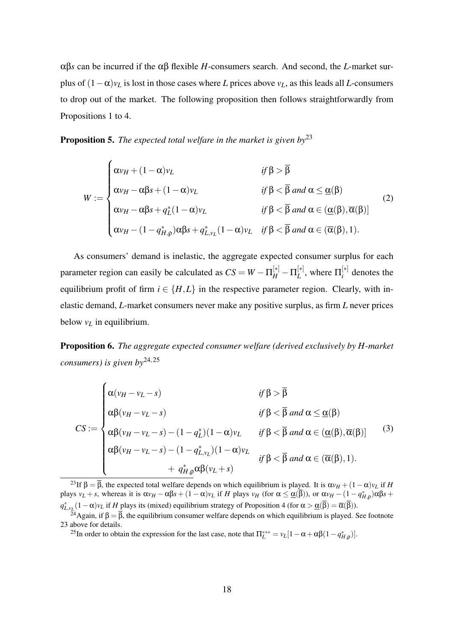αβ*s* can be incurred if the αβ flexible *H*-consumers search. And second, the *L*-market surplus of  $(1 - \alpha)v_L$  is lost in those cases where *L* prices above  $v_L$ , as this leads all *L*-consumers to drop out of the market. The following proposition then follows straightforwardly from Propositions 1 to 4.

Proposition 5. *The expected total welfare in the market is given by*<sup>23</sup>

$$
W := \begin{cases} \alpha v_H + (1 - \alpha) v_L & \text{if } \beta > \overline{\beta} \\ \alpha v_H - \alpha \beta s + (1 - \alpha) v_L & \text{if } \beta < \overline{\beta} \text{ and } \alpha \leq \underline{\alpha}(\beta) \\ \alpha v_H - \alpha \beta s + q_L^*(1 - \alpha) v_L & \text{if } \beta < \overline{\beta} \text{ and } \alpha \in (\underline{\alpha}(\beta), \overline{\alpha}(\beta)] \\ \alpha v_H - (1 - q_{H,\rho}^*) \alpha \beta s + q_{L,v_L}^*(1 - \alpha) v_L & \text{if } \beta < \overline{\beta} \text{ and } \alpha \in (\overline{\alpha}(\beta), 1). \end{cases}
$$
(2)

As consumers' demand is inelastic, the aggregate expected consumer surplus for each parameter region can easily be calculated as  $CS = W - \Pi_H^{[*]} - \Pi_L^{[*]}$  $L^{[*]}$ , where  $\Pi_i^{[*]}$  $i_i^{\lfloor n \rfloor}$  denotes the equilibrium profit of firm  $i \in \{H, L\}$  in the respective parameter region. Clearly, with inelastic demand, *L*-market consumers never make any positive surplus, as firm *L* never prices below  $v_L$  in equilibrium.

Proposition 6. *The aggregate expected consumer welfare (derived exclusively by H-market consumers) is given by*24*,*<sup>25</sup>

$$
CS := \begin{cases} \alpha(\nu_H - \nu_L - s) & \text{if } \beta > \overline{\beta} \\ \alpha\beta(\nu_H - \nu_L - s) & \text{if } \beta < \overline{\beta} \text{ and } \alpha \leq \underline{\alpha}(\beta) \\ \alpha\beta(\nu_H - \nu_L - s) - (1 - q_L^*)(1 - \alpha)\nu_L & \text{if } \beta < \overline{\beta} \text{ and } \alpha \in (\underline{\alpha}(\beta), \overline{\alpha}(\beta)] \\ \alpha\beta(\nu_H - \nu_L - s) - (1 - q_{L, \nu_L}^*)(1 - \alpha)\nu_L & \text{if } \beta < \overline{\beta} \text{ and } \alpha \in (\overline{\alpha}(\beta), 1). \\ + q_{H, \rho}^* \alpha\beta(\nu_L + s) & \end{cases}
$$
(3)

 $^{23}$ If  $\beta = \overline{\beta}$ , the expected total welfare depends on which equilibrium is played. It is  $\alpha v_H + (1 - \alpha)v_L$  if *H*  $\alpha$  plays *v*<sub>*L*</sub> + *s*, whereas it is α*ν*<sub>*H*</sub> − αβ*s* + (1 − α)*ν*<sub>*L*</sub> if *H* plays *v*<sub>*H*</sub> (for α ≤ <u>α</u>(β)), or α*ν*<sub>*H*</sub> − (1 − *q*<sup>\*</sup><sub>*H*,ρ</sub>)αβ*s* +  $q_{L,v_L}^*(1-\alpha)v_L$  if *H* plays its (mixed) equilibrium strategy of Proposition 4 (for  $\alpha > \underline{\alpha}(\overline{\beta}) = \overline{\alpha}(\overline{\beta})$ ).

<sup>&</sup>lt;sup>24</sup>Again, if  $\beta = \overline{\beta}$ , the equilibrium consumer welfare depends on which equilibrium is played. See footnote 23 above for details.

<sup>&</sup>lt;sup>25</sup>In order to obtain the expression for the last case, note that  $\Pi_L^{***} = v_L[1 - \alpha + \alpha\beta(1 - q_{H,\rho}^*)]$ .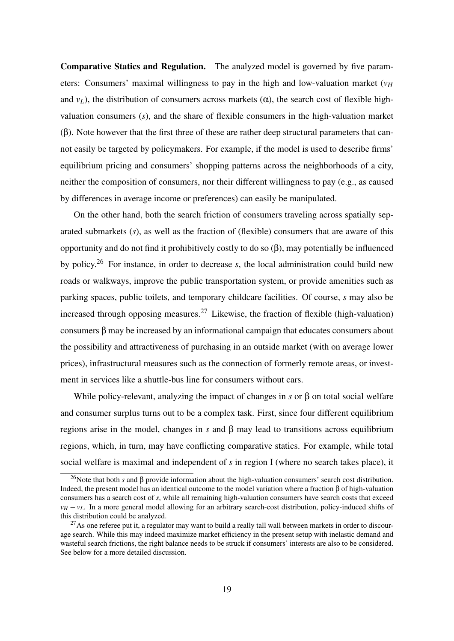Comparative Statics and Regulation. The analyzed model is governed by five parameters: Consumers' maximal willingness to pay in the high and low-valuation market  $(v_H)$ and  $v_L$ ), the distribution of consumers across markets ( $\alpha$ ), the search cost of flexible highvaluation consumers (*s*), and the share of flexible consumers in the high-valuation market (β). Note however that the first three of these are rather deep structural parameters that cannot easily be targeted by policymakers. For example, if the model is used to describe firms' equilibrium pricing and consumers' shopping patterns across the neighborhoods of a city, neither the composition of consumers, nor their different willingness to pay (e.g., as caused by differences in average income or preferences) can easily be manipulated.

On the other hand, both the search friction of consumers traveling across spatially separated submarkets (*s*), as well as the fraction of (flexible) consumers that are aware of this opportunity and do not find it prohibitively costly to do so (β), may potentially be influenced by policy.<sup>26</sup> For instance, in order to decrease *s*, the local administration could build new roads or walkways, improve the public transportation system, or provide amenities such as parking spaces, public toilets, and temporary childcare facilities. Of course, *s* may also be increased through opposing measures.<sup>27</sup> Likewise, the fraction of flexible (high-valuation) consumers β may be increased by an informational campaign that educates consumers about the possibility and attractiveness of purchasing in an outside market (with on average lower prices), infrastructural measures such as the connection of formerly remote areas, or investment in services like a shuttle-bus line for consumers without cars.

While policy-relevant, analyzing the impact of changes in *s* or β on total social welfare and consumer surplus turns out to be a complex task. First, since four different equilibrium regions arise in the model, changes in *s* and β may lead to transitions across equilibrium regions, which, in turn, may have conflicting comparative statics. For example, while total social welfare is maximal and independent of *s* in region I (where no search takes place), it

<sup>26</sup>Note that both *s* and β provide information about the high-valuation consumers' search cost distribution. Indeed, the present model has an identical outcome to the model variation where a fraction β of high-valuation consumers has a search cost of *s*, while all remaining high-valuation consumers have search costs that exceed  $v_H - v_L$ . In a more general model allowing for an arbitrary search-cost distribution, policy-induced shifts of this distribution could be analyzed.

<sup>&</sup>lt;sup>27</sup>As one referee put it, a regulator may want to build a really tall wall between markets in order to discourage search. While this may indeed maximize market efficiency in the present setup with inelastic demand and wasteful search frictions, the right balance needs to be struck if consumers' interests are also to be considered. See below for a more detailed discussion.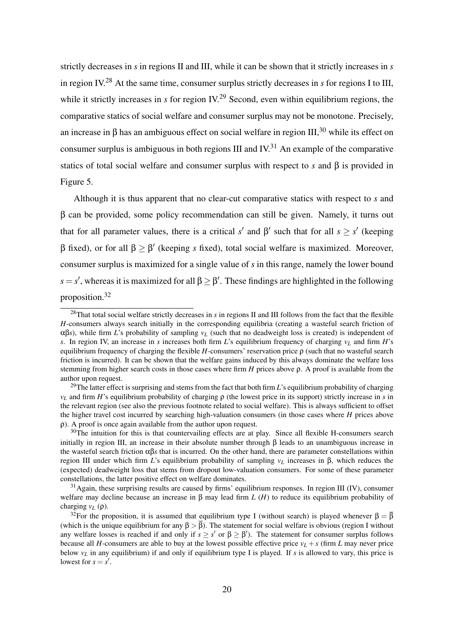strictly decreases in *s* in regions II and III, while it can be shown that it strictly increases in *s* in region IV.<sup>28</sup> At the same time, consumer surplus strictly decreases in *s* for regions I to III, while it strictly increases in *s* for region IV.<sup>29</sup> Second, even within equilibrium regions, the comparative statics of social welfare and consumer surplus may not be monotone. Precisely, an increase in β has an ambiguous effect on social welfare in region  $III$ ,<sup>30</sup> while its effect on consumer surplus is ambiguous in both regions III and  $IV^{31}$ . An example of the comparative statics of total social welfare and consumer surplus with respect to *s* and β is provided in Figure 5.

Although it is thus apparent that no clear-cut comparative statics with respect to *s* and β can be provided, some policy recommendation can still be given. Namely, it turns out that for all parameter values, there is a critical *s'* and β' such that for all  $s \geq s'$  (keeping β fixed), or for all β ≥ β ′ (keeping *s* fixed), total social welfare is maximized. Moreover, consumer surplus is maximized for a single value of *s* in this range, namely the lower bound  $s = s'$ , whereas it is maximized for all  $\beta \geq \beta'$ . These findings are highlighted in the following proposition.<sup>32</sup>

<sup>28</sup>That total social welfare strictly decreases in *s* in regions II and III follows from the fact that the flexible *H*-consumers always search initially in the corresponding equilibria (creating a wasteful search friction of  $\alpha\beta$ *s*), while firm *L*'s probability of sampling *v<sub>L</sub>* (such that no deadweight loss is created) is independent of *s*. In region IV, an increase in *s* increases both firm *L*'s equilibrium frequency of charging  $v<sub>L</sub>$  and firm *H*'s equilibrium frequency of charging the flexible *H*-consumers' reservation price ρ (such that no wasteful search friction is incurred). It can be shown that the welfare gains induced by this always dominate the welfare loss stemming from higher search costs in those cases where firm *H* prices above ρ. A proof is available from the author upon request.

<sup>&</sup>lt;sup>29</sup>The latter effect is surprising and stems from the fact that both firm *L*'s equilibrium probability of charging  $v_L$  and firm *H*'s equilibrium probability of charging ρ (the lowest price in its support) strictly increase in *s* in the relevant region (see also the previous footnote related to social welfare). This is always sufficient to offset the higher travel cost incurred by searching high-valuation consumers (in those cases where *H* prices above ρ). A proof is once again available from the author upon request.

 $30$ The intuition for this is that countervailing effects are at play. Since all flexible H-consumers search initially in region III, an increase in their absolute number through β leads to an unambiguous increase in the wasteful search friction  $\alpha\beta s$  that is incurred. On the other hand, there are parameter constellations within region III under which firm *L*'s equilibrium probability of sampling *v<sup>L</sup>* increases in β, which reduces the (expected) deadweight loss that stems from dropout low-valuation consumers. For some of these parameter constellations, the latter positive effect on welfare dominates.

 $31$ Again, these surprising results are caused by firms' equilibrium responses. In region III (IV), consumer welfare may decline because an increase in β may lead firm *L* (*H*) to reduce its equilibrium probability of charging *v<sub>L</sub>* (ρ).

<sup>&</sup>lt;sup>32</sup>For the proposition, it is assumed that equilibrium type I (without search) is played whenever  $\beta = \overline{\beta}$ (which is the unique equilibrium for any  $\beta > \beta$ ). The statement for social welfare is obvious (region I without any welfare losses is reached if and only if  $s \geq s'$  or  $\beta \geq \beta'$ ). The statement for consumer surplus follows because all *H*-consumers are able to buy at the lowest possible effective price  $v_L + s$  (firm *L* may never price below  $v_L$  in any equilibrium) if and only if equilibrium type I is played. If *s* is allowed to vary, this price is lowest for  $s = s'$ .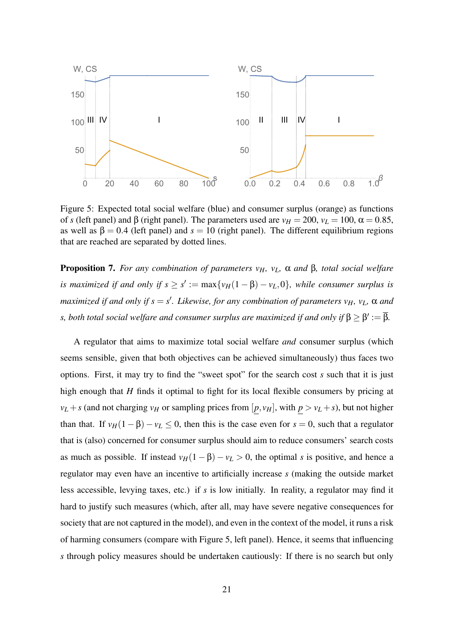

Figure 5: Expected total social welfare (blue) and consumer surplus (orange) as functions of *s* (left panel) and β (right panel). The parameters used are  $v_H = 200$ ,  $v_L = 100$ ,  $\alpha = 0.85$ , as well as  $\beta = 0.4$  (left panel) and  $s = 10$  (right panel). The different equilibrium regions that are reached are separated by dotted lines.

Proposition 7. *For any combination of parameters vH, vL,* α *and* β*, total social welfare is maximized if and only if*  $s \geq s' := \max\{v_H(1-\beta) - v_L, 0\}$ *, while consumer surplus is maximized if and only if s* = *s* ′ *. Likewise, for any combination of parameters vH, vL,* α *and* s, both total social welfare and consumer surplus are maximized if and only if  $\beta \geq \beta' := \overline{\beta}.$ 

A regulator that aims to maximize total social welfare *and* consumer surplus (which seems sensible, given that both objectives can be achieved simultaneously) thus faces two options. First, it may try to find the "sweet spot" for the search cost *s* such that it is just high enough that *H* finds it optimal to fight for its local flexible consumers by pricing at  $v_L + s$  (and not charging  $v_H$  or sampling prices from  $[p, v_H]$ , with  $p > v_L + s$ ), but not higher than that. If  $v_H(1 - \beta) - v_L \le 0$ , then this is the case even for  $s = 0$ , such that a regulator that is (also) concerned for consumer surplus should aim to reduce consumers' search costs as much as possible. If instead  $v_H(1 - \beta) - v_L > 0$ , the optimal *s* is positive, and hence a regulator may even have an incentive to artificially increase *s* (making the outside market less accessible, levying taxes, etc.) if *s* is low initially. In reality, a regulator may find it hard to justify such measures (which, after all, may have severe negative consequences for society that are not captured in the model), and even in the context of the model, it runs a risk of harming consumers (compare with Figure 5, left panel). Hence, it seems that influencing *s* through policy measures should be undertaken cautiously: If there is no search but only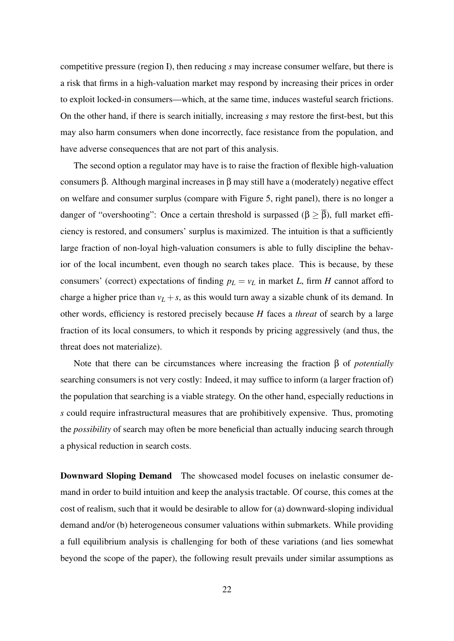competitive pressure (region I), then reducing *s* may increase consumer welfare, but there is a risk that firms in a high-valuation market may respond by increasing their prices in order to exploit locked-in consumers—which, at the same time, induces wasteful search frictions. On the other hand, if there is search initially, increasing *s* may restore the first-best, but this may also harm consumers when done incorrectly, face resistance from the population, and have adverse consequences that are not part of this analysis.

The second option a regulator may have is to raise the fraction of flexible high-valuation consumers β. Although marginal increases in β may still have a (moderately) negative effect on welfare and consumer surplus (compare with Figure 5, right panel), there is no longer a danger of "overshooting": Once a certain threshold is surpassed ( $\beta \geq \overline{\beta}$ ), full market efficiency is restored, and consumers' surplus is maximized. The intuition is that a sufficiently large fraction of non-loyal high-valuation consumers is able to fully discipline the behavior of the local incumbent, even though no search takes place. This is because, by these consumers' (correct) expectations of finding  $p_L = v_L$  in market *L*, firm *H* cannot afford to charge a higher price than  $v_L + s$ , as this would turn away a sizable chunk of its demand. In other words, efficiency is restored precisely because *H* faces a *threat* of search by a large fraction of its local consumers, to which it responds by pricing aggressively (and thus, the threat does not materialize).

Note that there can be circumstances where increasing the fraction β of *potentially* searching consumers is not very costly: Indeed, it may suffice to inform (a larger fraction of) the population that searching is a viable strategy. On the other hand, especially reductions in *s* could require infrastructural measures that are prohibitively expensive. Thus, promoting the *possibility* of search may often be more beneficial than actually inducing search through a physical reduction in search costs.

Downward Sloping Demand The showcased model focuses on inelastic consumer demand in order to build intuition and keep the analysis tractable. Of course, this comes at the cost of realism, such that it would be desirable to allow for (a) downward-sloping individual demand and/or (b) heterogeneous consumer valuations within submarkets. While providing a full equilibrium analysis is challenging for both of these variations (and lies somewhat beyond the scope of the paper), the following result prevails under similar assumptions as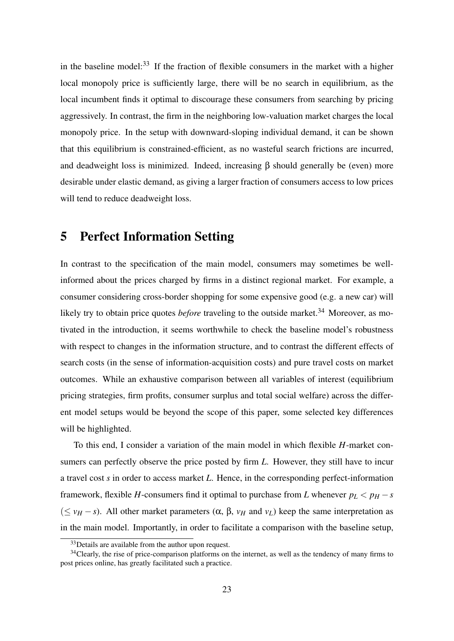in the baseline model: $33$  If the fraction of flexible consumers in the market with a higher local monopoly price is sufficiently large, there will be no search in equilibrium, as the local incumbent finds it optimal to discourage these consumers from searching by pricing aggressively. In contrast, the firm in the neighboring low-valuation market charges the local monopoly price. In the setup with downward-sloping individual demand, it can be shown that this equilibrium is constrained-efficient, as no wasteful search frictions are incurred, and deadweight loss is minimized. Indeed, increasing  $\beta$  should generally be (even) more desirable under elastic demand, as giving a larger fraction of consumers access to low prices will tend to reduce deadweight loss.

### 5 Perfect Information Setting

In contrast to the specification of the main model, consumers may sometimes be wellinformed about the prices charged by firms in a distinct regional market. For example, a consumer considering cross-border shopping for some expensive good (e.g. a new car) will likely try to obtain price quotes *before* traveling to the outside market.<sup>34</sup> Moreover, as motivated in the introduction, it seems worthwhile to check the baseline model's robustness with respect to changes in the information structure, and to contrast the different effects of search costs (in the sense of information-acquisition costs) and pure travel costs on market outcomes. While an exhaustive comparison between all variables of interest (equilibrium pricing strategies, firm profits, consumer surplus and total social welfare) across the different model setups would be beyond the scope of this paper, some selected key differences will be highlighted.

To this end, I consider a variation of the main model in which flexible *H*-market consumers can perfectly observe the price posted by firm *L*. However, they still have to incur a travel cost *s* in order to access market *L*. Hence, in the corresponding perfect-information framework, flexible *H*-consumers find it optimal to purchase from *L* whenever  $p_L < p_H - s$ ( $≤$  *v<sub>H</sub>* − *s*). All other market parameters (α, β, *v<sub>H</sub>* and *v<sub>L</sub>*) keep the same interpretation as in the main model. Importantly, in order to facilitate a comparison with the baseline setup,

<sup>&</sup>lt;sup>33</sup>Details are available from the author upon request.

<sup>&</sup>lt;sup>34</sup>Clearly, the rise of price-comparison platforms on the internet, as well as the tendency of many firms to post prices online, has greatly facilitated such a practice.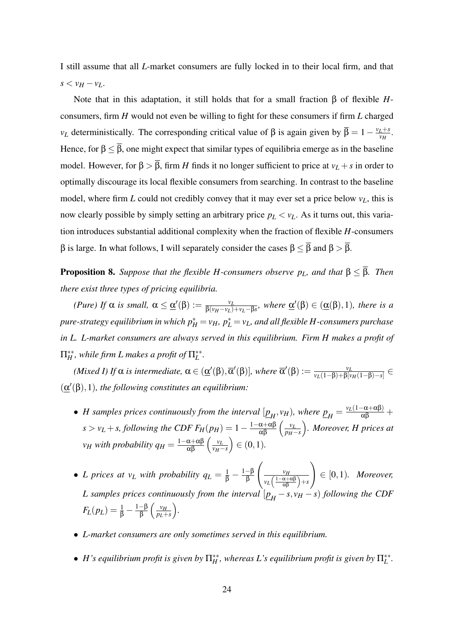I still assume that all *L*-market consumers are fully locked in to their local firm, and that  $s < v_H - v_L$ .

Note that in this adaptation, it still holds that for a small fraction β of flexible *H*consumers, firm *H* would not even be willing to fight for these consumers if firm *L* charged *v*<sub>*L*</sub> deterministically. The corresponding critical value of β is again given by  $\bar{\beta} = 1 - \frac{v_L + s}{v_H}$  $\frac{L+S}{v_H}$ . Hence, for  $\beta \leq \overline{\beta}$ , one might expect that similar types of equilibria emerge as in the baseline model. However, for  $\beta > \overline{\beta}$ , firm *H* finds it no longer sufficient to price at *v*<sub>*L*</sub> + *s* in order to optimally discourage its local flexible consumers from searching. In contrast to the baseline model, where firm *L* could not credibly convey that it may ever set a price below *vL*, this is now clearly possible by simply setting an arbitrary price  $p_L < v_L$ . As it turns out, this variation introduces substantial additional complexity when the fraction of flexible *H*-consumers β is large. In what follows, I will separately consider the cases  $\beta \leq \bar{\beta}$  and  $\beta > \bar{\beta}$ .

**Proposition 8.** *Suppose that the flexible H-consumers observe*  $p_L$ *, and that*  $\beta \leq \overline{\beta}$ *. Then there exist three types of pricing equilibria.*

*(Pure)* If  $\alpha$  *is small,*  $\alpha \leq \underline{\alpha}'(\beta) := \frac{v_L}{\beta(v_L - v_L)}$  $\frac{v_L}{\beta(v_H - v_L) + v_L - \beta s}$ , where  $\underline{\alpha}'(\beta) \in (\underline{\alpha}(\beta), 1)$ , there is a  $p$ ure-strategy equilibrium in which  $p^{*}_{H}$   $=$   $v_{H}$ ,  $p^{*}_{L}$   $=$   $v_{L}$ , and all flexible  $H$ -consumers purchase *in L. L-market consumers are always served in this equilibrium. Firm H makes a profit of*  $\Pi_H^{**}$ , while firm L makes a profit of  $\Pi_L^{**}$ .

(*Mixed I)* If  $\alpha$  *is intermediate*,  $\alpha \in (\underline{\alpha}'(\beta), \overline{\alpha}'(\beta)]$ *, where*  $\overline{\alpha}'(\beta) := \frac{v_L}{v_L(1-\beta)+\beta_0}$ *vL*(1−β)+β[*vH*(1−β)−*s*] ∈  $(\underline{\alpha}'(\beta), 1)$ *, the following constitutes an equilibrium:* 

- *H* samples prices continuously from the interval  $[\underline{p}_H, v_H)$ , where  $\underline{p}_H = \frac{v_L(1-\alpha+\alpha\beta)}{\alpha\beta} +$  $s > v_L + s$ , following the CDF  $F_H(p_H) = 1 - \frac{1 - \alpha + \alpha\beta}{\alpha\beta} \left(\frac{v_L}{p_H - \alpha}\right)$ *pH*−*s . Moreover, H prices at*  $v_H$  *with probability*  $q_H = \frac{1-\alpha+\alpha\beta}{\alpha\beta} \left(\frac{v_H}{v_H - \alpha\beta}\right)$ *vH*−*s*  $) ∈ (0,1)$ *.*
- *L* prices at  $v_L$  with probability  $q_L = \frac{1}{\beta} \frac{1-\beta}{\beta}$ β  $\left(\frac{v_H}{\sqrt{v_H}}\right)$  $v_L\left(\frac{1-\alpha+\alpha\beta}{\alpha\beta}\right)+s$  $\setminus$ ∈ [0,1)*. Moreover, L* samples prices continuously from the interval  $[\underline{p}_H - s, v_H - s)$  following the CDF  $F_L(p_L) = \frac{1}{\beta} - \frac{1-\beta}{\beta}$ —β  $\left(\frac{v_H}{p_L + 1}\right)$ *pL*+*s .*
- *L-market consumers are only sometimes served in this equilibrium.*
- *H*'s equilibrium profit is given by  $\Pi_H^{**}$ , whereas *L*'s equilibrium profit is given by  $\Pi_L^{**}$ .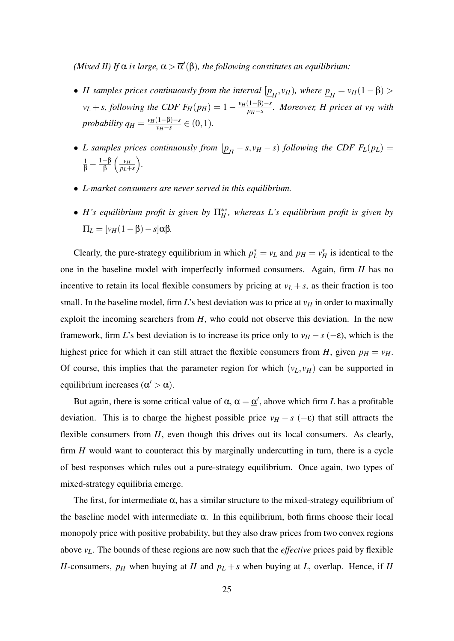*(Mixed II) If*  $\alpha$  *is large,*  $\alpha > \overline{\alpha}'(\beta)$ *, the following constitutes an equilibrium:* 

- *H* samples prices continuously from the interval  $[\underline{p}_H, v_H)$ , where  $\underline{p}_H = v_H(1 \beta)$  >  $v_L + s$ , following the CDF  $F_H(p_H) = 1 - \frac{v_H(1-\beta)-s}{p_H-s}$ *pH*−*s . Moreover, H prices at v<sup>H</sup> with probability*  $q_H = \frac{v_H(1-\beta)-s}{v_H-s}$  $\frac{(1-p)-s}{v_H-s}$  ∈ (0, 1)*.*
- *L* samples prices continuously from  $[\underline{p}_H s, v_H s)$  following the CDF  $F_L(p_L) =$  $rac{1}{\beta} - \frac{1-\beta}{\beta}$  $\frac{-\beta}{\beta}$   $\left(\frac{v_H}{p_L + \alpha}\right)$ *pL*+*s .*
- *L-market consumers are never served in this equilibrium.*
- $\bullet$  *H*'s equilibrium profit is given by  $\Pi_H^*$ , whereas *L*'s equilibrium profit is given by  $\Pi_L = \left[ \nu_H (1 - \beta) - s \right] \alpha \beta$ *.*

Clearly, the pure-strategy equilibrium in which  $p_L^* = v_L$  and  $p_H = v_H^*$  is identical to the one in the baseline model with imperfectly informed consumers. Again, firm *H* has no incentive to retain its local flexible consumers by pricing at  $v_L + s$ , as their fraction is too small. In the baseline model, firm *L*'s best deviation was to price at  $v_H$  in order to maximally exploit the incoming searchers from *H*, who could not observe this deviation. In the new framework, firm *L*'s best deviation is to increase its price only to  $v_H - s$  (−ε), which is the highest price for which it can still attract the flexible consumers from *H*, given  $p_H = v_H$ . Of course, this implies that the parameter region for which  $(v_L, v_H)$  can be supported in equilibrium increases ( $\underline{\alpha}' > \underline{\alpha}$ ).

But again, there is some critical value of  $\alpha$ ,  $\alpha = \underline{\alpha}'$ , above which firm *L* has a profitable deviation. This is to charge the highest possible price  $v_H - s$  (- $\varepsilon$ ) that still attracts the flexible consumers from *H*, even though this drives out its local consumers. As clearly, firm *H* would want to counteract this by marginally undercutting in turn, there is a cycle of best responses which rules out a pure-strategy equilibrium. Once again, two types of mixed-strategy equilibria emerge.

The first, for intermediate  $\alpha$ , has a similar structure to the mixed-strategy equilibrium of the baseline model with intermediate  $\alpha$ . In this equilibrium, both firms choose their local monopoly price with positive probability, but they also draw prices from two convex regions above *vL*. The bounds of these regions are now such that the *effective* prices paid by flexible *H*-consumers,  $p_H$  when buying at *H* and  $p_L + s$  when buying at *L*, overlap. Hence, if *H*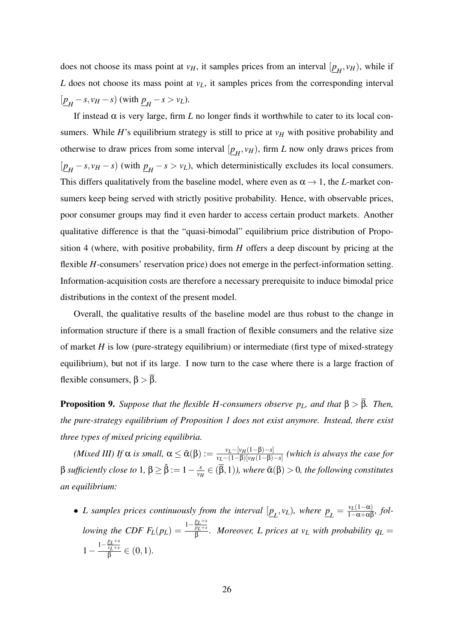does not choose its mass point at  $v_H$ , it samples prices from an interval  $[\underline{p}_H, v_H)$ , while if *L* does not choose its mass point at  $v_L$ , it samples prices from the corresponding interval  $\left[\underline{p}_H - s, v_H - s\right)$  (with  $\underline{p}_H - s > v_L$ ).

If instead  $\alpha$  is very large, firm *L* no longer finds it worthwhile to cater to its local consumers. While *H*'s equilibrium strategy is still to price at  $v_H$  with positive probability and otherwise to draw prices from some interval  $[\underline{p}_H, v_H)$ , firm *L* now only draws prices from  $(p_H - s, v_H - s)$  (with  $p_H - s > v_L$ ), which deterministically excludes its local consumers. This differs qualitatively from the baseline model, where even as  $\alpha \rightarrow 1$ , the *L*-market consumers keep being served with strictly positive probability. Hence, with observable prices, poor consumer groups may find it even harder to access certain product markets. Another qualitative difference is that the "quasi-bimodal" equilibrium price distribution of Proposition 4 (where, with positive probability, firm *H* offers a deep discount by pricing at the flexible *H*-consumers' reservation price) does not emerge in the perfect-information setting. Information-acquisition costs are therefore a necessary prerequisite to induce bimodal price distributions in the context of the present model.

Overall, the qualitative results of the baseline model are thus robust to the change in information structure if there is a small fraction of flexible consumers and the relative size of market *H* is low (pure-strategy equilibrium) or intermediate (first type of mixed-strategy equilibrium), but not if its large. I now turn to the case where there is a large fraction of flexible consumers,  $\beta > \overline{\beta}$ .

**Proposition 9.** *Suppose that the flexible H-consumers observe*  $p_L$ *, and that*  $\beta > \overline{\beta}$ *. Then, the pure-strategy equilibrium of Proposition 1 does not exist anymore. Instead, there exist three types of mixed pricing equilibria.*

*(Mixed III)* If  $\alpha$  *is small,*  $\alpha \leq \tilde{\alpha}(\beta) := \frac{v_L - [v_H(1-\beta) - s]}{v_L - (1-\beta)[v_H(1-\beta)]}$  $\frac{v_L - (v_H(1-p)-s)}{v_L - (1-p)[v_H(1-p)-s]}$  (which is always the case for β *sufficiently close to* 1,  $β \geq β := 1 - \frac{3}{\nu}$  $\frac{s}{v_H} \in (\beta,1)$ *), where*  $\tilde{\alpha}(\beta) > 0$ *, the following constitutes an equilibrium:*

• *L* samples prices continuously from the interval  $[\underline{p}_L, v_L)$ , where  $\underline{p}_L = \frac{v_L(1-\alpha)}{1-\alpha+\alpha\beta}$ , fol*lowing the CDF*  $F_L(p_L) = \frac{1 - \frac{p_L + s}{p_L + s}}{8}$ *pL*+*s*  $\frac{p_L+s}{\beta}$ . Moreover, L prices at v<sub>L</sub> with probability  $q_L =$  $1-\frac{p_L+s}{p_L+s}$ *vL*+*s*  $\frac{v_L+s}{\beta}\in(0,1).$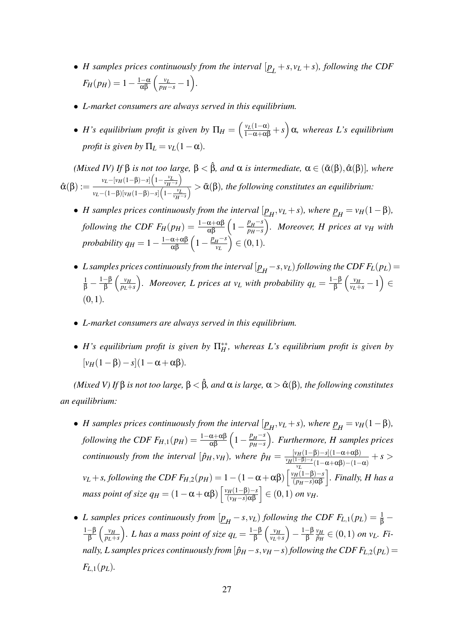- *H* samples prices continuously from the interval  $[\underline{p}_L + s, v_L + s)$ , following the CDF  $F_H(p_H) = 1 - \frac{1-\alpha}{\alpha\beta} \left( \frac{v_L}{p_H - s} - 1 \right).$
- *L-market consumers are always served in this equilibrium.*
- *H*'s equilibrium profit is given by  $\Pi_H = \left(\frac{v_L(1-\alpha)}{1-\alpha+\alpha\beta} + s\right)\alpha$ , whereas L's equilibrium *profit is given by*  $\Pi_L = v_L(1-\alpha)$ *.*

*(Mixed IV) If*  $\beta$  *is not too large,*  $\beta < \hat{\beta}$ *, and*  $\alpha$  *is intermediate,*  $\alpha \in (\tilde{\alpha}(\beta), \hat{\alpha}(\beta)]$ *, where*  $\hat{\alpha}(\beta) := \frac{v_L - [v_H(1-\beta)-s] \left(1 - \frac{v_L}{v_H-s}\right)}{v_L - \left(\frac{v_L}{v_H}-\frac{s}{s}\right) \left(1 - \frac{v_L}{v_H-s}\right)}$  $\frac{v_L - (1-\beta)[v_H(1-\beta)-s] \left(1-\frac{v_L}{v_H-s}\right)}{v_L-(1-\beta)[v_H(1-\beta)-s] \left(1-\frac{v_L}{v_H-s}\right)} > \tilde{\alpha}(\beta)$ , the following constitutes an equilibrium:

- *H* samples prices continuously from the interval  $[\underline{p}_H, v_L + s)$ , where  $\underline{p}_H = v_H(1 \beta)$ , *H following the CDF*  $F_H(p_H) = \frac{1-\alpha+\alpha\beta}{\alpha\beta}\left(1-\frac{p_H-s}{p_H-s}\right)$ *pH*−*s . Moreover, H prices at v<sup>H</sup> with probability*  $q_H = 1 - \frac{1 - \alpha + \alpha \beta}{\alpha \beta} \left( 1 - \frac{p_H - s}{\nu_L} \right)$ *vL*  $) ∈ (0,1)$ *.*
- $\bullet$  *L* samples prices continuously from the interval  $[\underline{p}_H s, v_L)$  following the CDF  $F_L(p_L)$  =  $rac{1}{\beta} - \frac{1-\beta}{\beta}$  $\frac{-\beta}{\beta}$   $\left(\frac{v_H}{p_L + 1}\right)$ *pL*+*s f*. *Moreover, L prices at v<sub>L</sub> with probability*  $q_L = \frac{1-\beta}{\beta}$  $\frac{-\beta}{\beta}\left(\frac{v_H}{v_L+s}-1\right)\in$ (0,1)*.*
- *L-market consumers are always served in this equilibrium.*
- $\bullet$  *H*'s equilibrium profit is given by  $\Pi_H^{**}$ , whereas *L*'s equilibrium profit is given by  $[v_H(1-\beta)-s](1-\alpha+\alpha\beta)$ .

*(Mixed V) If* β *is not too large,*  $β < β$ *, and*  $α$  *is large,*  $α > α(β)$ *, the following constitutes an equilibrium:*

- *H* samples prices continuously from the interval  $[\underline{p}_H, v_L + s)$ , where  $\underline{p}_H = v_H(1 \beta)$ ,  $f$ *ollowing the CDF*  $F_{H,1}(p_H) = \frac{1-\alpha+\alpha\beta}{\alpha\beta}\left(1-\frac{p_H-s}{p_H-s}\right)$ *pH*−*s . Furthermore, H samples prices continuously from the interval*  $[\hat{p}_H, v_H]$ *, where*  $\hat{p}_H = \frac{[v_H(1-\beta)-s](1-\alpha+\alpha\beta)}{v_H(1-\beta)-s/(1-\alpha+\alpha\beta)}$  $\frac{v_H(1-\beta)-s_1(1-\alpha+\alpha\beta)}{v_L}(1-\alpha+\alpha\beta)-(1-\alpha)}$  + *s* >  $v_L + s$ , following the CDF  $F_{H,2}(p_H) = 1 - (1 - \alpha + \alpha \beta) \left[ \frac{v_H(1-\beta)-s}{(p_H-s)\alpha\beta} \right]$ . Finally, H has a *mass point of size*  $q_H = (1 - \alpha + \alpha \beta) \left[ \frac{v_H(1-\beta)-s}{(v_H-s)\alpha\beta} \right] \in (0,1)$  *<i>on v* $_H$ .
- *L* samples prices continuously from  $[\underline{p}_H s, v_L)$  following the CDF  $F_{L,1}(p_L) = \frac{1}{\beta} \frac{1}{\beta}$ 1−β  $\frac{-\beta}{\beta}$   $\left(\frac{v_H}{p_L + \alpha}\right)$ *pL*+*s* ). *L* has a mass point of size  $q_L = \frac{1-\beta}{\beta}$  $\frac{-\beta}{\beta}\left(\frac{v_H}{v_L +} \right)$ *vL*+*s*  $-\frac{1-\beta}{\beta}$ β  $\nu$ *H*  $\frac{v_H}{\hat{p}_H} \in (0,1)$  on  $v_L$ *. Finally, L samples prices continuously from*  $[\hat{p}_H - s, v_H - s)$  *following the CDF*  $F_{L,2}(p_L)$  =  $F_{L,1}(p_L)$ .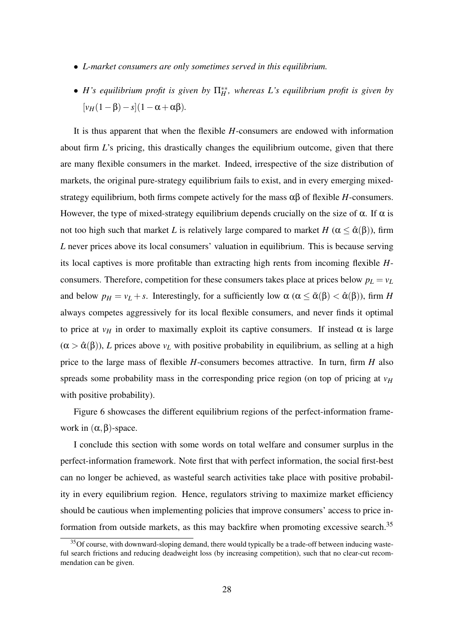- *L-market consumers are only sometimes served in this equilibrium.*
- $\bullet$  *H*'s equilibrium profit is given by  $\Pi_H^{**}$ , whereas *L*'s equilibrium profit is given by  $[v_H(1-\beta)-s](1-\alpha+\alpha\beta).$

It is thus apparent that when the flexible *H*-consumers are endowed with information about firm *L*'s pricing, this drastically changes the equilibrium outcome, given that there are many flexible consumers in the market. Indeed, irrespective of the size distribution of markets, the original pure-strategy equilibrium fails to exist, and in every emerging mixedstrategy equilibrium, both firms compete actively for the mass  $\alpha\beta$  of flexible *H*-consumers. However, the type of mixed-strategy equilibrium depends crucially on the size of  $\alpha$ . If  $\alpha$  is not too high such that market *L* is relatively large compared to market *H* ( $\alpha \leq \hat{\alpha}(\beta)$ ), firm *L* never prices above its local consumers' valuation in equilibrium. This is because serving its local captives is more profitable than extracting high rents from incoming flexible *H*consumers. Therefore, competition for these consumers takes place at prices below  $p_L = v_L$ and below  $p_H = v_L + s$ . Interestingly, for a sufficiently low  $\alpha$  ( $\alpha \leq \tilde{\alpha}(\beta) < \hat{\alpha}(\beta)$ ), firm *H* always competes aggressively for its local flexible consumers, and never finds it optimal to price at  $v_H$  in order to maximally exploit its captive consumers. If instead  $\alpha$  is large  $(\alpha > \hat{\alpha}(\beta))$ , *L* prices above  $v_L$  with positive probability in equilibrium, as selling at a high price to the large mass of flexible *H*-consumers becomes attractive. In turn, firm *H* also spreads some probability mass in the corresponding price region (on top of pricing at  $v_H$ ) with positive probability).

Figure 6 showcases the different equilibrium regions of the perfect-information framework in  $(\alpha, \beta)$ -space.

I conclude this section with some words on total welfare and consumer surplus in the perfect-information framework. Note first that with perfect information, the social first-best can no longer be achieved, as wasteful search activities take place with positive probability in every equilibrium region. Hence, regulators striving to maximize market efficiency should be cautious when implementing policies that improve consumers' access to price information from outside markets, as this may backfire when promoting excessive search.<sup>35</sup>

 $35$  Of course, with downward-sloping demand, there would typically be a trade-off between inducing wasteful search frictions and reducing deadweight loss (by increasing competition), such that no clear-cut recommendation can be given.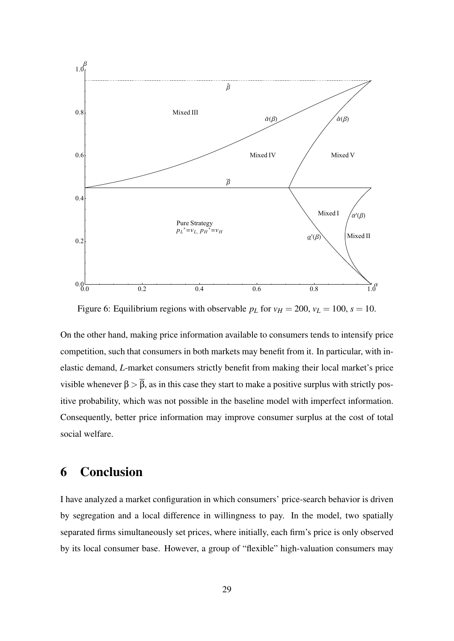

Figure 6: Equilibrium regions with observable  $p_L$  for  $v_H = 200$ ,  $v_L = 100$ ,  $s = 10$ .

On the other hand, making price information available to consumers tends to intensify price competition, such that consumers in both markets may benefit from it. In particular, with inelastic demand, *L*-market consumers strictly benefit from making their local market's price visible whenever  $\beta > \overline{\beta}$ , as in this case they start to make a positive surplus with strictly positive probability, which was not possible in the baseline model with imperfect information. Consequently, better price information may improve consumer surplus at the cost of total social welfare.

### 6 Conclusion

I have analyzed a market configuration in which consumers' price-search behavior is driven by segregation and a local difference in willingness to pay. In the model, two spatially separated firms simultaneously set prices, where initially, each firm's price is only observed by its local consumer base. However, a group of "flexible" high-valuation consumers may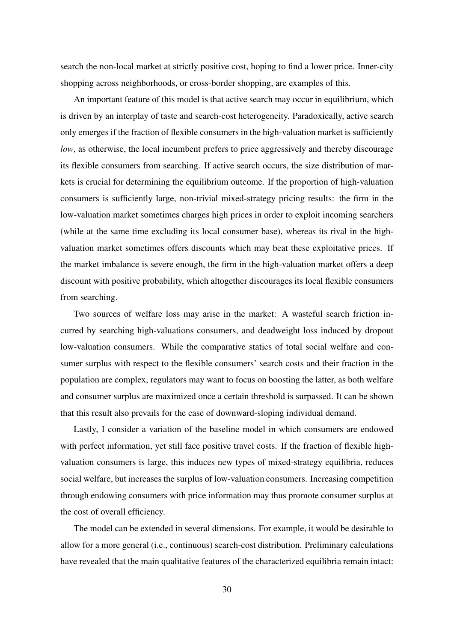search the non-local market at strictly positive cost, hoping to find a lower price. Inner-city shopping across neighborhoods, or cross-border shopping, are examples of this.

An important feature of this model is that active search may occur in equilibrium, which is driven by an interplay of taste and search-cost heterogeneity. Paradoxically, active search only emerges if the fraction of flexible consumers in the high-valuation market is sufficiently *low*, as otherwise, the local incumbent prefers to price aggressively and thereby discourage its flexible consumers from searching. If active search occurs, the size distribution of markets is crucial for determining the equilibrium outcome. If the proportion of high-valuation consumers is sufficiently large, non-trivial mixed-strategy pricing results: the firm in the low-valuation market sometimes charges high prices in order to exploit incoming searchers (while at the same time excluding its local consumer base), whereas its rival in the highvaluation market sometimes offers discounts which may beat these exploitative prices. If the market imbalance is severe enough, the firm in the high-valuation market offers a deep discount with positive probability, which altogether discourages its local flexible consumers from searching.

Two sources of welfare loss may arise in the market: A wasteful search friction incurred by searching high-valuations consumers, and deadweight loss induced by dropout low-valuation consumers. While the comparative statics of total social welfare and consumer surplus with respect to the flexible consumers' search costs and their fraction in the population are complex, regulators may want to focus on boosting the latter, as both welfare and consumer surplus are maximized once a certain threshold is surpassed. It can be shown that this result also prevails for the case of downward-sloping individual demand.

Lastly, I consider a variation of the baseline model in which consumers are endowed with perfect information, yet still face positive travel costs. If the fraction of flexible highvaluation consumers is large, this induces new types of mixed-strategy equilibria, reduces social welfare, but increases the surplus of low-valuation consumers. Increasing competition through endowing consumers with price information may thus promote consumer surplus at the cost of overall efficiency.

The model can be extended in several dimensions. For example, it would be desirable to allow for a more general (i.e., continuous) search-cost distribution. Preliminary calculations have revealed that the main qualitative features of the characterized equilibria remain intact: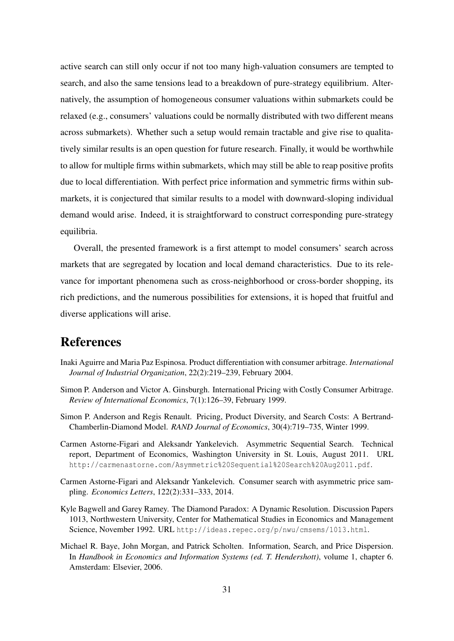active search can still only occur if not too many high-valuation consumers are tempted to search, and also the same tensions lead to a breakdown of pure-strategy equilibrium. Alternatively, the assumption of homogeneous consumer valuations within submarkets could be relaxed (e.g., consumers' valuations could be normally distributed with two different means across submarkets). Whether such a setup would remain tractable and give rise to qualitatively similar results is an open question for future research. Finally, it would be worthwhile to allow for multiple firms within submarkets, which may still be able to reap positive profits due to local differentiation. With perfect price information and symmetric firms within submarkets, it is conjectured that similar results to a model with downward-sloping individual demand would arise. Indeed, it is straightforward to construct corresponding pure-strategy equilibria.

Overall, the presented framework is a first attempt to model consumers' search across markets that are segregated by location and local demand characteristics. Due to its relevance for important phenomena such as cross-neighborhood or cross-border shopping, its rich predictions, and the numerous possibilities for extensions, it is hoped that fruitful and diverse applications will arise.

### References

- Inaki Aguirre and Maria Paz Espinosa. Product differentiation with consumer arbitrage. *International Journal of Industrial Organization*, 22(2):219–239, February 2004.
- Simon P. Anderson and Victor A. Ginsburgh. International Pricing with Costly Consumer Arbitrage. *Review of International Economics*, 7(1):126–39, February 1999.
- Simon P. Anderson and Regis Renault. Pricing, Product Diversity, and Search Costs: A Bertrand-Chamberlin-Diamond Model. *RAND Journal of Economics*, 30(4):719–735, Winter 1999.
- Carmen Astorne-Figari and Aleksandr Yankelevich. Asymmetric Sequential Search. Technical report, Department of Economics, Washington University in St. Louis, August 2011. URL http://carmenastorne.com/Asymmetric%20Sequential%20Search%20Aug2011.pdf.
- Carmen Astorne-Figari and Aleksandr Yankelevich. Consumer search with asymmetric price sampling. *Economics Letters*, 122(2):331–333, 2014.
- Kyle Bagwell and Garey Ramey. The Diamond Paradox: A Dynamic Resolution. Discussion Papers 1013, Northwestern University, Center for Mathematical Studies in Economics and Management Science, November 1992. URL http://ideas.repec.org/p/nwu/cmsems/1013.html.
- Michael R. Baye, John Morgan, and Patrick Scholten. Information, Search, and Price Dispersion. In *Handbook in Economics and Information Systems (ed. T. Hendershott)*, volume 1, chapter 6. Amsterdam: Elsevier, 2006.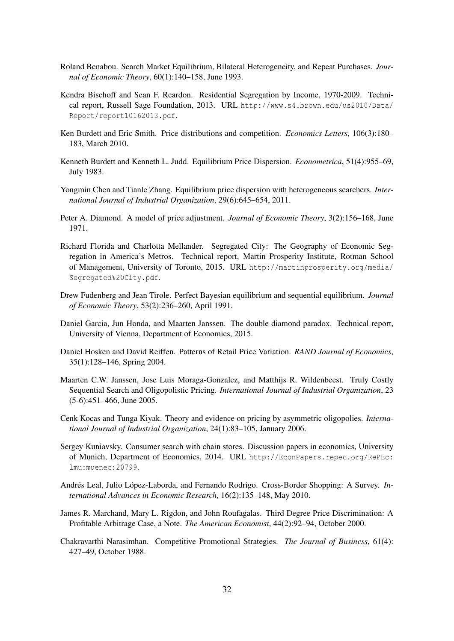- Roland Benabou. Search Market Equilibrium, Bilateral Heterogeneity, and Repeat Purchases. *Journal of Economic Theory*, 60(1):140–158, June 1993.
- Kendra Bischoff and Sean F. Reardon. Residential Segregation by Income, 1970-2009. Technical report, Russell Sage Foundation, 2013. URL http://www.s4.brown.edu/us2010/Data/ Report/report10162013.pdf.
- Ken Burdett and Eric Smith. Price distributions and competition. *Economics Letters*, 106(3):180– 183, March 2010.
- Kenneth Burdett and Kenneth L. Judd. Equilibrium Price Dispersion. *Econometrica*, 51(4):955–69, July 1983.
- Yongmin Chen and Tianle Zhang. Equilibrium price dispersion with heterogeneous searchers. *International Journal of Industrial Organization*, 29(6):645–654, 2011.
- Peter A. Diamond. A model of price adjustment. *Journal of Economic Theory*, 3(2):156–168, June 1971.
- Richard Florida and Charlotta Mellander. Segregated City: The Geography of Economic Segregation in America's Metros. Technical report, Martin Prosperity Institute, Rotman School of Management, University of Toronto, 2015. URL http://martinprosperity.org/media/ Segregated%20City.pdf.
- Drew Fudenberg and Jean Tirole. Perfect Bayesian equilibrium and sequential equilibrium. *Journal of Economic Theory*, 53(2):236–260, April 1991.
- Daniel Garcia, Jun Honda, and Maarten Janssen. The double diamond paradox. Technical report, University of Vienna, Department of Economics, 2015.
- Daniel Hosken and David Reiffen. Patterns of Retail Price Variation. *RAND Journal of Economics*, 35(1):128–146, Spring 2004.
- Maarten C.W. Janssen, Jose Luis Moraga-Gonzalez, and Matthijs R. Wildenbeest. Truly Costly Sequential Search and Oligopolistic Pricing. *International Journal of Industrial Organization*, 23 (5-6):451–466, June 2005.
- Cenk Kocas and Tunga Kiyak. Theory and evidence on pricing by asymmetric oligopolies. *International Journal of Industrial Organization*, 24(1):83–105, January 2006.
- Sergey Kuniavsky. Consumer search with chain stores. Discussion papers in economics, University of Munich, Department of Economics, 2014. URL http://EconPapers.repec.org/RePEc: lmu:muenec:20799.
- Andrés Leal, Julio López-Laborda, and Fernando Rodrigo. Cross-Border Shopping: A Survey. *International Advances in Economic Research*, 16(2):135–148, May 2010.
- James R. Marchand, Mary L. Rigdon, and John Roufagalas. Third Degree Price Discrimination: A Profitable Arbitrage Case, a Note. *The American Economist*, 44(2):92–94, October 2000.
- Chakravarthi Narasimhan. Competitive Promotional Strategies. *The Journal of Business*, 61(4): 427–49, October 1988.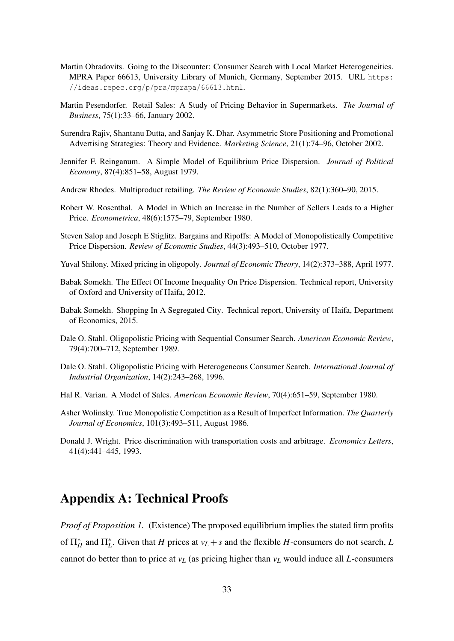- Martin Obradovits. Going to the Discounter: Consumer Search with Local Market Heterogeneities. MPRA Paper 66613, University Library of Munich, Germany, September 2015. URL https: //ideas.repec.org/p/pra/mprapa/66613.html.
- Martin Pesendorfer. Retail Sales: A Study of Pricing Behavior in Supermarkets. *The Journal of Business*, 75(1):33–66, January 2002.
- Surendra Rajiv, Shantanu Dutta, and Sanjay K. Dhar. Asymmetric Store Positioning and Promotional Advertising Strategies: Theory and Evidence. *Marketing Science*, 21(1):74–96, October 2002.
- Jennifer F. Reinganum. A Simple Model of Equilibrium Price Dispersion. *Journal of Political Economy*, 87(4):851–58, August 1979.
- Andrew Rhodes. Multiproduct retailing. *The Review of Economic Studies*, 82(1):360–90, 2015.
- Robert W. Rosenthal. A Model in Which an Increase in the Number of Sellers Leads to a Higher Price. *Econometrica*, 48(6):1575–79, September 1980.
- Steven Salop and Joseph E Stiglitz. Bargains and Ripoffs: A Model of Monopolistically Competitive Price Dispersion. *Review of Economic Studies*, 44(3):493–510, October 1977.
- Yuval Shilony. Mixed pricing in oligopoly. *Journal of Economic Theory*, 14(2):373–388, April 1977.
- Babak Somekh. The Effect Of Income Inequality On Price Dispersion. Technical report, University of Oxford and University of Haifa, 2012.
- Babak Somekh. Shopping In A Segregated City. Technical report, University of Haifa, Department of Economics, 2015.
- Dale O. Stahl. Oligopolistic Pricing with Sequential Consumer Search. *American Economic Review*, 79(4):700–712, September 1989.
- Dale O. Stahl. Oligopolistic Pricing with Heterogeneous Consumer Search. *International Journal of Industrial Organization*, 14(2):243–268, 1996.
- Hal R. Varian. A Model of Sales. *American Economic Review*, 70(4):651–59, September 1980.
- Asher Wolinsky. True Monopolistic Competition as a Result of Imperfect Information. *The Quarterly Journal of Economics*, 101(3):493–511, August 1986.
- Donald J. Wright. Price discrimination with transportation costs and arbitrage. *Economics Letters*, 41(4):441–445, 1993.

### Appendix A: Technical Proofs

*Proof of Proposition 1.* (Existence) The proposed equilibrium implies the stated firm profits of  $\Pi_H^*$  and  $\Pi_L^*$ . Given that *H* prices at  $v_L + s$  and the flexible *H*-consumers do not search, *L* cannot do better than to price at  $v_L$  (as pricing higher than  $v_L$  would induce all *L*-consumers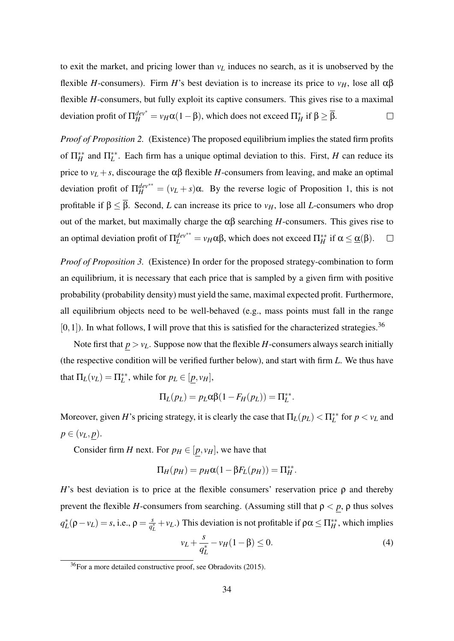to exit the market, and pricing lower than *v<sup>L</sup>* induces no search, as it is unobserved by the flexible *H*-consumers). Firm *H*'s best deviation is to increase its price to  $ν_H$ , lose all αβ flexible *H*-consumers, but fully exploit its captive consumers. This gives rise to a maximal deviation profit of  $\Pi_H^{dev^*} = \nu_H\alpha(1-\beta)$ , which does not exceed  $\Pi_H^*$  if  $\beta \geq \overline{\beta}$ .  $\Box$ 

*Proof of Proposition 2.* (Existence) The proposed equilibrium implies the stated firm profits of  $\Pi_H^{**}$  and  $\Pi_L^{**}$ . Each firm has a unique optimal deviation to this. First, *H* can reduce its price to  $v_L + s$ , discourage the  $\alpha\beta$  flexible *H*-consumers from leaving, and make an optimal deviation profit of  $\Pi_H^{dev^{**}} = (v_L + s)\alpha$ . By the reverse logic of Proposition 1, this is not profitable if  $\beta \leq \overline{\beta}$ . Second, *L* can increase its price to *v<sub>H</sub>*, lose all *L*-consumers who drop out of the market, but maximally charge the αβ searching *H*-consumers. This gives rise to an optimal deviation profit of  $\Pi_L^{dev^{**}} = v_H \alpha \beta$ , which does not exceed  $\Pi_H^{**}$  if  $\alpha \leq \underline{\alpha}(\beta)$ .  $\Box$ 

*Proof of Proposition 3.* (Existence) In order for the proposed strategy-combination to form an equilibrium, it is necessary that each price that is sampled by a given firm with positive probability (probability density) must yield the same, maximal expected profit. Furthermore, all equilibrium objects need to be well-behaved (e.g., mass points must fall in the range  $[0,1]$ ). In what follows, I will prove that this is satisfied for the characterized strategies.<sup>36</sup>

Note first that  $p > v_L$ . Suppose now that the flexible *H*-consumers always search initially (the respective condition will be verified further below), and start with firm *L*. We thus have that  $\Pi_L(v_L) = \Pi_L^{**}$ , while for  $p_L \in [\underline{p}, v_H]$ ,

$$
\Pi_L(p_L) = p_L \alpha \beta (1 - F_H(p_L)) = \Pi_L^{**}.
$$

Moreover, given *H*'s pricing strategy, it is clearly the case that  $\Pi_L(p_L) < \Pi_L^{**}$  for  $p < v_L$  and  $p \in (v_L, p)$ .

Consider firm *H* next. For  $p_H \in [p, v_H]$ , we have that

$$
\Pi_H(p_H) = p_H \alpha (1 - \beta F_L(p_H)) = \Pi_H^{**}.
$$

*H*'s best deviation is to price at the flexible consumers' reservation price  $\rho$  and thereby prevent the flexible *H*-consumers from searching. (Assuming still that  $\rho < p$ ,  $\rho$  thus solves  $q_L^*(\rho - v_L) = s$ , i.e.,  $\rho = \frac{s}{q_L^3}$  $\frac{s}{q_L^*} + v_L$ .) This deviation is not profitable if  $\rho \alpha \le \Pi_H^{**}$ , which implies

$$
v_L + \frac{s}{q_L^*} - v_H(1 - \beta) \le 0.
$$
 (4)

 $\frac{36}{36}$  For a more detailed constructive proof, see Obradovits (2015).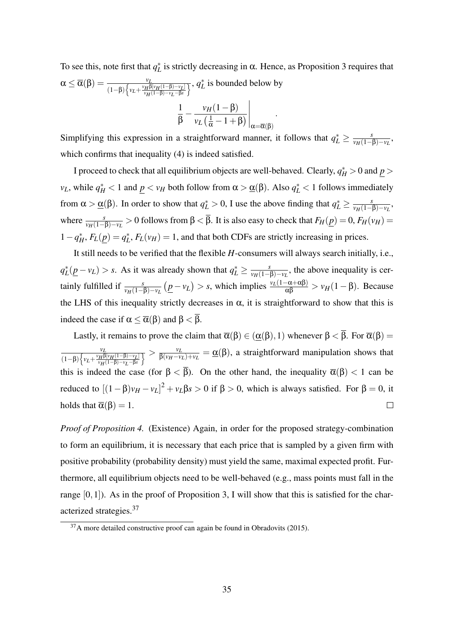To see this, note first that  $q_L^*$  is strictly decreasing in  $\alpha$ . Hence, as Proposition 3 requires that  $\alpha \leq \overline{\alpha}(\beta) = \frac{v_L}{(1-\beta)\left\{v_L + \frac{v_H\beta[v_H(1-\beta)-v_L]}{v_H(1-\beta)-v_L-\beta s}\right\}}$ *vH*(1−β)−*vL*−β*s*  $\overline{\chi}$ ,  $q_L^*$  is bounded below by  $v_H(1-\beta)$  |

$$
\frac{1}{\beta} - \frac{v_H(1-\beta)}{v_L(\frac{1}{\alpha}-1+\beta)}\bigg|_{\alpha=\overline{\alpha}(\beta)}.
$$

Simplifying this expression in a straightforward manner, it follows that  $q_L^* \ge \frac{s}{\nu_H(1-s)}$  $\frac{s}{\nu_H(1-\beta)-\nu_L}$ which confirms that inequality (4) is indeed satisfied.

I proceed to check that all equilibrium objects are well-behaved. Clearly,  $q_H^* > 0$  and  $\underline{p} > 0$ *v*<sub>*L*</sub>, while  $q_H^* < 1$  and  $\underline{p} < v_H$  both follow from  $\alpha > \underline{\alpha}(\beta)$ . Also  $q_L^* < 1$  follows immediately from  $\alpha > \underline{\alpha}(\beta)$ . In order to show that  $q_L^* > 0$ , I use the above finding that  $q_L^* \ge \frac{s}{\nu_H(1-s)}$  $\frac{s}{\nu_H(1-\beta)-\nu_L}$ where  $\frac{s}{v_H(1-\beta)-v_L} > 0$  follows from  $\beta < \overline{\beta}$ . It is also easy to check that  $F_H(\underline{p}) = 0$ ,  $F_H(v_H) = 0$  $1-q_H^*$ ,  $F_L(\underline{p}) = q_L^*$ ,  $F_L(v_H) = 1$ , and that both CDFs are strictly increasing in prices.

It still needs to be verified that the flexible *H*-consumers will always search initially, i.e.,  $q_L^*(p - v_L) > s$ . As it was already shown that  $q_L^* \ge \frac{s}{v_H(1 - r_L)}$  $\frac{s}{v_H(1-\beta)-v_L}$ , the above inequality is certainly fulfilled if  $\frac{s}{\nu_H(1-\beta)-\nu_L}(\underline{p}-\nu_L) > s$ , which implies  $\frac{\nu_L(1-\alpha+\alpha\beta)}{\alpha\beta} > \nu_H(1-\beta)$ . Because the LHS of this inequality strictly decreases in  $\alpha$ , it is straightforward to show that this is indeed the case if  $\alpha \leq \overline{\alpha}(\beta)$  and  $\beta < \beta$ .

Lastly, it remains to prove the claim that  $\overline{\alpha}(\beta) \in (\underline{\alpha}(\beta), 1)$  whenever  $\beta < \overline{\beta}$ . For  $\overline{\alpha}(\beta) =$ *vL*  $\frac{v_L}{\sqrt{v_H-v_L}}$  $\frac{v_L}{\beta(v_H - v_L) + v_L} = \underline{\alpha}(\beta)$ , a straightforward manipulation shows that  $(1-\beta)\left\{v_L+\frac{v_H\beta[v_H(1-\beta)-v_L]}{v_H(1-\beta)-v_L-\beta s}\right\}$ *vH*(1−β)−*vL*−β*s* this is indeed the case (for  $\beta < \overline{\beta}$ ). On the other hand, the inequality  $\overline{\alpha}(\beta) < 1$  can be reduced to  $[(1 - β)v_H - v_L]^2 + v_Lβs > 0$  if  $β > 0$ , which is always satisfied. For  $β = 0$ , it holds that  $\overline{\alpha}(\beta) = 1$ .  $\Box$ 

*Proof of Proposition 4.* (Existence) Again, in order for the proposed strategy-combination to form an equilibrium, it is necessary that each price that is sampled by a given firm with positive probability (probability density) must yield the same, maximal expected profit. Furthermore, all equilibrium objects need to be well-behaved (e.g., mass points must fall in the range  $[0,1]$ ). As in the proof of Proposition 3, I will show that this is satisfied for the characterized strategies.<sup>37</sup>

 $37$ A more detailed constructive proof can again be found in Obradovits (2015).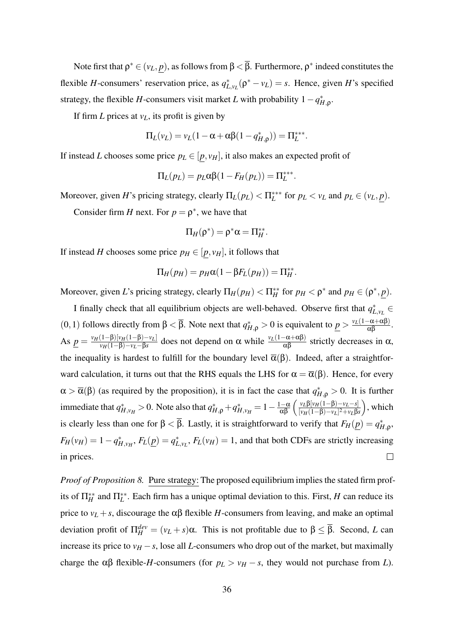Note first that  $\rho^* \in (\nu_L, p)$ , as follows from  $\beta < \overline{\beta}$ . Furthermore,  $\rho^*$  indeed constitutes the flexible *H*-consumers' reservation price, as  $q_{L,v}^*(\rho^* - v_L) = s$ . Hence, given *H*'s specified strategy, the flexible *H*-consumers visit market *L* with probability  $1 - q_{H,\rho}^*$ .

If firm *L* prices at *vL*, its profit is given by

$$
\Pi_L(v_L) = v_L(1 - \alpha + \alpha \beta (1 - q_{H,\rho}^*)) = \Pi_L^{***}.
$$

If instead *L* chooses some price  $p_L \in [p, v_H]$ , it also makes an expected profit of

$$
\Pi_L(p_L) = p_L \alpha \beta (1 - F_H(p_L)) = \Pi_L^{***}.
$$

Moreover, given *H*'s pricing strategy, clearly  $\Pi_L(p_L) < \Pi_L^{***}$  for  $p_L < v_L$  and  $p_L \in (v_L, \underline{p})$ .

Consider firm *H* next. For  $p = \rho^*$ , we have that

$$
\Pi_H(\rho^*)=\rho^*\alpha=\Pi_H^{**}.
$$

If instead *H* chooses some price  $p_H \in [p, v_H]$ , it follows that

$$
\Pi_H(p_H) = p_H \alpha (1 - \beta F_L(p_H)) = \Pi_H^{**}.
$$

Moreover, given *L*'s pricing strategy, clearly  $\Pi_H(p_H) < \Pi_H^{**}$  for  $p_H < \rho^*$  and  $p_H \in (\rho^*, \underline{p})$ .

I finally check that all equilibrium objects are well-behaved. Observe first that  $q_{L,v_L}^*$ (0, 1) follows directly from β <  $\bar{\beta}$ . Note next that  $q_{H,\rho}^* > 0$  is equivalent to  $\underline{p} > \frac{v_L(1-\alpha+\alpha\beta)}{\alpha\beta}$ . As  $p = \frac{v_H(1-\beta)[v_H(1-\beta)-v_L]}{v_H(1-\beta)-v_L-\beta s}$  $\frac{(1-\beta)[v_H(1-\beta)-v_L]}{v_H(1-\beta)-v_L-\beta s}$  does not depend on α while  $\frac{v_L(1-\alpha+\alpha\beta)}{\alpha\beta}$  strictly decreases in α, the inequality is hardest to fulfill for the boundary level  $\overline{\alpha}(\beta)$ . Indeed, after a straightforward calculation, it turns out that the RHS equals the LHS for  $\alpha = \overline{\alpha}(\beta)$ . Hence, for every  $\alpha > \overline{\alpha}(\beta)$  (as required by the proposition), it is in fact the case that  $q_{H,\rho}^* > 0$ . It is further immediate that  $q_{H,\nu}^{*} > 0$ . Note also that  $q_{H,\rho}^{*} + q_{H,\nu}^{*} = 1 - \frac{1-\alpha}{\alpha\beta} \left( \frac{\nu_L \beta[\nu_H (1-\beta) - \nu_L - s]}{[\nu_H (1-\beta) - \nu_L]^2 + \nu_L \beta} \right)$ ), which  $\sqrt{[\nu_H(1-\beta)-\nu_L]^2+\nu_L\beta s}$ is clearly less than one for  $\beta < \overline{\beta}$ . Lastly, it is straightforward to verify that  $F_H(\underline{p}) = q_{H,\rho}^*$ ,  $F_H(v_H) = 1 - q_{H,v_H}^*$ ,  $F_L(\underline{p}) = q_{L,v_L}^*$ ,  $F_L(v_H) = 1$ , and that both CDFs are strictly increasing in prices.  $\Box$ 

*Proof of Proposition 8.* Pure strategy: The proposed equilibrium implies the stated firm profits of  $\Pi_H^{**}$  and  $\Pi_L^{**}$ . Each firm has a unique optimal deviation to this. First, *H* can reduce its price to  $v_L + s$ , discourage the  $\alpha\beta$  flexible *H*-consumers from leaving, and make an optimal deviation profit of  $\Pi_H^{dev} = (v_L + s)\alpha$ . This is not profitable due to  $\beta \leq \overline{\beta}$ . Second, *L* can increase its price to  $v_H - s$ , lose all *L*-consumers who drop out of the market, but maximally charge the  $\alpha\beta$  flexible-*H*-consumers (for  $p_L > v_H - s$ , they would not purchase from *L*).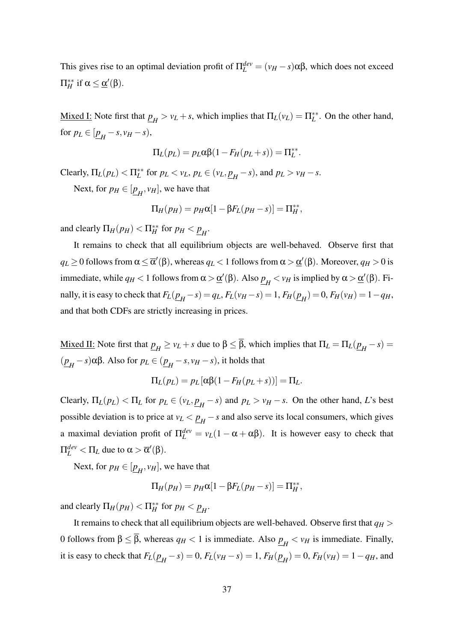This gives rise to an optimal deviation profit of  $\Pi_L^{dev} = (v_H - s) \alpha \beta$ , which does not exceed  $\Pi_H^{**}$  if α ≤ <u>α</u>'(β).

Mixed I: Note first that  $\underline{p}_H > v_L + s$ , which implies that  $\Pi_L(v_L) = \Pi_L^{**}$ . On the other hand, for  $p_L \in [\underline{p}_H - s, v_H - s)$ ,

$$
\Pi_L(p_L) = p_L \alpha \beta (1 - F_H(p_L + s)) = \Pi_L^{**}.
$$

 $\text{Clearly, } \Pi_L(p_L) < \Pi_L^{**} \text{ for } p_L < v_L, p_L \in (v_L, \underline{p}_H - s), \text{ and } p_L > v_H - s.$ 

Next, for  $p_H \in [\underline{p}_H, v_H]$ , we have that

$$
\Pi_H(p_H) = p_H \alpha [1 - \beta F_L(p_H - s)] = \Pi_H^{**},
$$

and clearly  $\Pi_H(p_H) < \Pi_H^{**}$  for  $p_H < \underline{p}_H$ .

It remains to check that all equilibrium objects are well-behaved. Observe first that  $q_L$   $\ge$  0 follows from  $\alpha$   $\leq$   $\overline{\alpha}'(\beta)$ , whereas  $q_L$   $<$  1 follows from  $\alpha$   $>$   $\underline{\alpha}'(\beta)$ . Moreover,  $q_H$   $>$  0 is immediate, while  $q_H < 1$  follows from  $\alpha > \underline{\alpha}'(\beta)$ . Also  $\underline{p}_H < v_H$  is implied by  $\alpha > \underline{\alpha}'(\beta)$ . Finally, it is easy to check that  $F_L(\underline{p}_H - s) = q_L$ ,  $F_L(v_H - s) = 1$ ,  $F_H(\underline{p}_H) = 0$ ,  $F_H(v_H) = 1 - q_H$ , and that both CDFs are strictly increasing in prices.

Mixed II: Note first that  $p_H \ge v_L + s$  due to β  $\le \beta$ , which implies that  $\Pi_L = \Pi_L (p_H - s) =$  $(p_H - s)$ αβ. Also for  $p_L$  ∈  $(p_H - s, v_H - s)$ , it holds that

$$
\Pi_L(p_L) = p_L [\alpha \beta (1 - F_H(p_L + s))] = \Pi_L.
$$

Clearly,  $\Pi_L(p_L) < \Pi_L$  for  $p_L \in (v_L, \underline{p}_H - s)$  and  $p_L > v_H - s$ . On the other hand, *L*'s best possible deviation is to price at  $v_L < p_H - s$  and also serve its local consumers, which gives a maximal deviation profit of  $\Pi_L^{dev} = v_L(1 - \alpha + \alpha \beta)$ . It is however easy to check that  $\Pi_L^{dev} < \Pi_L$  due to  $\alpha > \overline{\alpha}'(\beta)$ .

Next, for  $p_H \in [\underline{p}_H, v_H]$ , we have that

$$
\Pi_H(p_H) = p_H \alpha [1 - \beta F_L(p_H - s)] = \Pi_H^{**},
$$

and clearly  $\Pi_H(p_H) < \Pi_H^{**}$  for  $p_H < \underline{p}_H$ .

It remains to check that all equilibrium objects are well-behaved. Observe first that  $q_H$  > 0 follows from β  $\leq$  β, whereas  $q_H$  < 1 is immediate. Also  $p_H$  <  $v_H$  is immediate. Finally, it is easy to check that  $F_L(\underline{p}_H - s) = 0$ ,  $F_L(v_H - s) = 1$ ,  $F_H(\underline{p}_H) = 0$ ,  $F_H(v_H) = 1 - q_H$ , and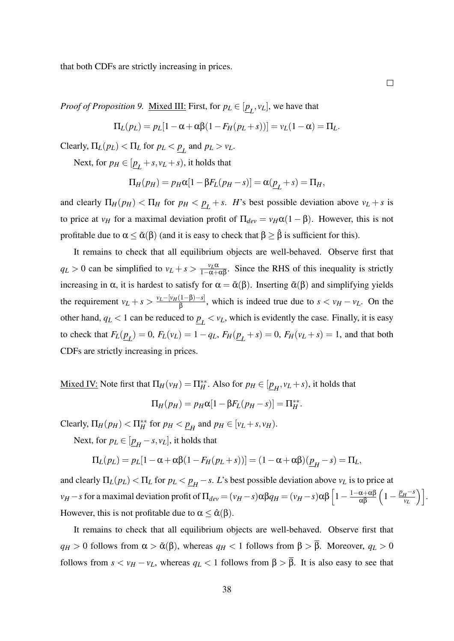that both CDFs are strictly increasing in prices.

 $\Box$ 

*Proof of Proposition 9.* <u>Mixed III:</u> First, for  $p_L \in [\underline{p}_L, v_L]$ , we have that

$$
\Pi_L(p_L) = p_L[1 - \alpha + \alpha\beta(1 - F_H(p_L + s))] = v_L(1 - \alpha) = \Pi_L.
$$

 $\text{Clearly, } \Pi_L(p_L) < \Pi_L \text{ for } p_L < \underline{p}_L \text{ and } p_L > v_L.$ 

Next, for  $p_H \in [\underline{p}_L + s, v_L + s)$ , it holds that

$$
\Pi_H(p_H) = p_H \alpha [1 - \beta F_L(p_H - s)] = \alpha (\underline{p}_L + s) = \Pi_H,
$$

and clearly  $\Pi_H(p_H) < \Pi_H$  for  $p_H < \underline{p}_L + s$ . *H*'s best possible deviation above  $v_L + s$  is to price at *v<sub>H</sub>* for a maximal deviation profit of  $\Pi_{dev} = v_H \alpha (1 - \beta)$ . However, this is not profitable due to  $\alpha \leq \tilde{\alpha}(\beta)$  (and it is easy to check that  $\beta \geq \hat{\beta}$  is sufficient for this).

It remains to check that all equilibrium objects are well-behaved. Observe first that  $q_L > 0$  can be simplified to  $v_L + s > \frac{v_L \alpha}{1 - \alpha + \alpha \beta}$ . Since the RHS of this inequality is strictly increasing in  $\alpha$ , it is hardest to satisfy for  $\alpha = \tilde{\alpha}(\beta)$ . Inserting  $\tilde{\alpha}(\beta)$  and simplifying yields the requirement  $v_L + s > \frac{v_L - [v_H(1-\beta)-s]}{\beta}$  $\frac{(1-p)^{-s}}{\beta}$ , which is indeed true due to  $s < v_H - v_L$ . On the other hand,  $q_L < 1$  can be reduced to  $\underline{p}_L < v_L$ , which is evidently the case. Finally, it is easy to check that  $F_L(\underline{p}_L) = 0$ ,  $F_L(v_L) = 1 - q_L$ ,  $F_H(\underline{p}_L + s) = 0$ ,  $F_H(v_L + s) = 1$ , and that both CDFs are strictly increasing in prices.

<u>Mixed IV:</u> Note first that  $\Pi_H(v_H) = \Pi_H^{**}$ . Also for  $p_H \in [\underline{p}_H, v_L + s)$ , it holds that

$$
\Pi_H(p_H) = p_H \alpha [1 - \beta F_L(p_H - s)] = \Pi_H^{**}.
$$

Clearly,  $\Pi_H(p_H) < \Pi_H^{**}$  for  $p_H < \underline{p}_H$  and  $p_H \in [\nu_L + s, \nu_H)$ .

Next, for  $p_L \in [\underline{p}_H - s, v_L]$ , it holds that

$$
\Pi_L(p_L)=p_L[1-\alpha+\alpha\beta(1-F_H(p_L+s))]=(1-\alpha+\alpha\beta)(\underline{p}_H-s)=\Pi_L,
$$

and clearly  $\Pi_L(p_L) < \Pi_L$  for  $p_L < \underline{p}_H - s$ . *L*'s best possible deviation above  $v_L$  is to price at *v*<sub>*H*</sub> − *s* for a maximal deviation profit of  $\Pi_{dev} = (\nu_H - s) \alpha \beta q_H = (\nu_H - s) \alpha \beta \left[1 - \frac{1 - \alpha + \alpha \beta}{\alpha \beta} \left(1 - \frac{p_H - s}{\nu_L}\right)\right]$  $\left[\frac{H^{-S}}{v_L}\right].$ However, this is not profitable due to  $\alpha < \hat{\alpha}(\beta)$ .

It remains to check that all equilibrium objects are well-behaved. Observe first that  $q_H > 0$  follows from  $\alpha > \tilde{\alpha}(\beta)$ , whereas  $q_H < 1$  follows from  $\beta > \overline{\beta}$ . Moreover,  $q_L > 0$ follows from  $s < v_H - v_L$ , whereas  $q_L < 1$  follows from  $\beta > \overline{\beta}$ . It is also easy to see that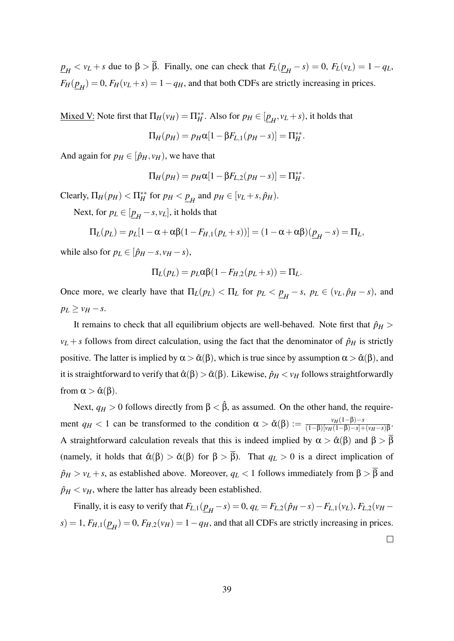*p*<sub>*H*</sub> < *v*<sub>*L*</sub> + *s* due to β > β. Finally, one can check that  $F_L(\underline{p}_H - s) = 0$ ,  $F_L(v_L) = 1 - q_L$ ,  $F_H(\underline{p}_H) = 0$ ,  $F_H(\nu_L + s) = 1 - q_H$ , and that both CDFs are strictly increasing in prices.

<u>Mixed V:</u> Note first that  $\Pi_H(v_H) = \Pi_H^{**}$ . Also for  $p_H \in [\underline{p}_H, v_L + s)$ , it holds that

$$
\Pi_H(p_H) = p_H \alpha [1 - \beta F_{L,1}(p_H - s)] = \Pi_H^{**}.
$$

And again for  $p_H \in [\hat{p}_H, v_H)$ , we have that

$$
\Pi_H(p_H) = p_H \alpha [1 - \beta F_{L,2}(p_H - s)] = \Pi_H^{**}.
$$

Clearly,  $\Pi_H(p_H) < \Pi_H^{**}$  for  $p_H < \underline{p}_H$  and  $p_H \in [\nu_L + s, \hat{p}_H)$ .

Next, for  $p_L \in [\underline{p}_H - s, v_L]$ , it holds that

$$
\Pi_L(p_L) = p_L[1 - \alpha + \alpha \beta (1 - F_{H,1}(p_L + s))] = (1 - \alpha + \alpha \beta)(\underline{p}_H - s) = \Pi_L,
$$

while also for  $p_L \in [\hat{p}_H - s, v_H - s)$ ,

$$
\Pi_L(p_L) = p_L \alpha \beta (1 - F_{H,2}(p_L + s)) = \Pi_L.
$$

Once more, we clearly have that  $\Pi_L(p_L) < \Pi_L$  for  $p_L < \underline{p}_H - s$ ,  $p_L \in (v_L, \hat{p}_H - s)$ , and  $p_L \ge v_H - s$ .

It remains to check that all equilibrium objects are well-behaved. Note first that  $\hat{p}_H$  >  $v_L + s$  follows from direct calculation, using the fact that the denominator of  $\hat{p}_H$  is strictly positive. The latter is implied by  $\alpha > \tilde{\alpha}(\beta)$ , which is true since by assumption  $\alpha > \hat{\alpha}(\beta)$ , and it is straightforward to verify that  $\hat{\alpha}(\beta) > \tilde{\alpha}(\beta)$ . Likewise,  $\hat{p}_H < v_H$  follows straightforwardly from  $\alpha > \hat{\alpha}(\beta)$ .

Next,  $q_H > 0$  follows directly from  $\beta < \hat{\beta}$ , as assumed. On the other hand, the requirement  $q_H < 1$  can be transformed to the condition  $\alpha > \check{\alpha}(\beta) := \frac{v_H(1-\beta)-s_H}{(1-\beta)[v_H(1-\beta)-s_H]}$  $\frac{v_H(1-p)-s}{(1-\beta)[v_H(1-\beta)-s]+(v_H-s)\beta}.$ A straightforward calculation reveals that this is indeed implied by  $\alpha > \hat{\alpha}(\beta)$  and  $\beta > \overline{\beta}$ (namely, it holds that  $\hat{\alpha}(\beta) > \check{\alpha}(\beta)$  for  $\beta > \overline{\beta}$ ). That  $q_L > 0$  is a direct implication of  $\hat{p}_H > v_L + s$ , as established above. Moreover,  $q_L < 1$  follows immediately from  $\beta > \overline{\beta}$  and  $\hat{p}_H < v_H$ , where the latter has already been established.

Finally, it is easy to verify that  $F_{L,1}(\underline{p}_H - s) = 0$ ,  $q_L = F_{L,2}(\hat{p}_H - s) - F_{L,1}(v_L)$ ,  $F_{L,2}(v_H - s)$  $s$ ) = 1,  $F_{H,1}(\underline{p}_H)$  = 0,  $F_{H,2}(v_H)$  = 1 −  $q_H$ , and that all CDFs are strictly increasing in prices.

 $\Box$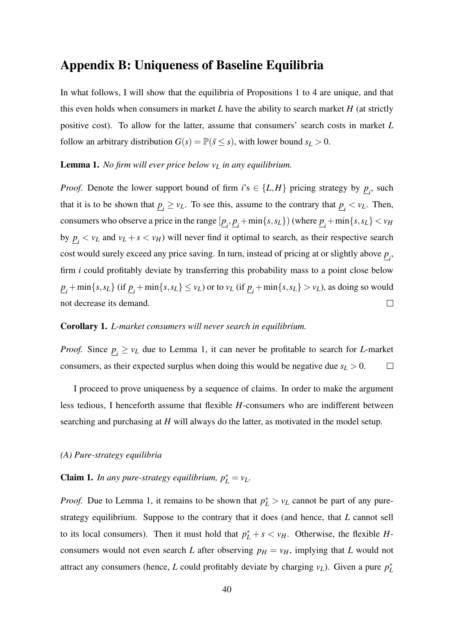### Appendix B: Uniqueness of Baseline Equilibria

In what follows, I will show that the equilibria of Propositions 1 to 4 are unique, and that this even holds when consumers in market  $L$  have the ability to search market  $H$  (at strictly positive cost). To allow for the latter, assume that consumers' search costs in market *L* follow an arbitrary distribution  $G(s) = \mathbb{P}(\tilde{s} \leq s)$ , with lower bound  $s_L > 0$ .

#### Lemma 1. *No firm will ever price below v<sup>L</sup> in any equilibrium.*

*Proof.* Denote the lower support bound of firm  $i$ 's  $\in \{L, H\}$  pricing strategy by  $\underline{p}_i$ , such that it is to be shown that  $\underline{p}_i \geq v_L$ . To see this, assume to the contrary that  $\underline{p}_i < v_L$ . Then, consumers who observe a price in the range  $[\underline{p}_i, \underline{p}_i + \min\{s, s_L\})$  (where  $\underline{p}_i + \min\{s, s_L\} < v_H$ by  $\underline{p}_i < v_L$  and  $v_L + s < v_H$ ) will never find it optimal to search, as their respective search cost would surely exceed any price saving. In turn, instead of pricing at or slightly above *p i* , firm *i* could profitably deviate by transferring this probability mass to a point close below  $\underline{p}_i + \min\{s, s_L\}$  (if  $\underline{p}_i + \min\{s, s_L\} \le v_L$ ) or to  $v_L$  (if  $\underline{p}_i + \min\{s, s_L\} > v_L$ ), as doing so would not decrease its demand.  $\Box$ 

#### Corollary 1. *L-market consumers will never search in equilibrium.*

*Proof.* Since  $\underline{p}_i \geq v_L$  due to Lemma 1, it can never be profitable to search for *L*-market consumers, as their expected surplus when doing this would be negative due  $s_L > 0$ .  $\Box$ 

I proceed to prove uniqueness by a sequence of claims. In order to make the argument less tedious, I henceforth assume that flexible *H*-consumers who are indifferent between searching and purchasing at *H* will always do the latter, as motivated in the model setup.

#### *(A) Pure-strategy equilibria*

### **Claim 1.** *In any pure-strategy equilibrium,*  $p_L^* = v_L$ .

*Proof.* Due to Lemma 1, it remains to be shown that  $p_L^* > v_L$  cannot be part of any purestrategy equilibrium. Suppose to the contrary that it does (and hence, that *L* cannot sell to its local consumers). Then it must hold that  $p_L^* + s < v_H$ . Otherwise, the flexible *H*consumers would not even search *L* after observing  $p_H = v_H$ , implying that *L* would not attract any consumers (hence, *L* could profitably deviate by charging  $v_L$ ). Given a pure  $p_L^*$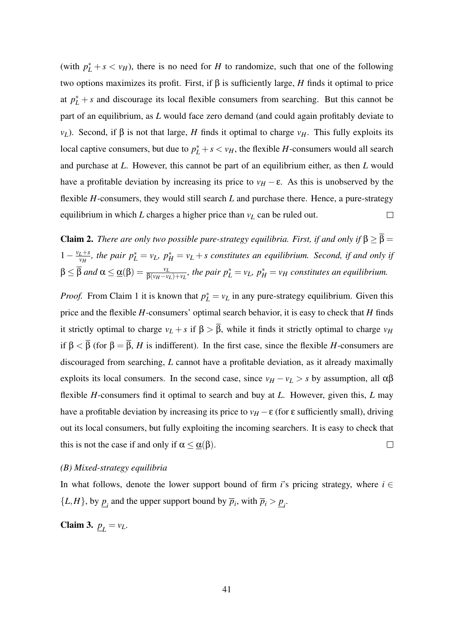(with  $p_L^* + s < v_H$ ), there is no need for *H* to randomize, such that one of the following two options maximizes its profit. First, if β is sufficiently large, *H* finds it optimal to price at  $p_L^*$  + *s* and discourage its local flexible consumers from searching. But this cannot be part of an equilibrium, as *L* would face zero demand (and could again profitably deviate to *v*<sub>*L*</sub>). Second, if β is not that large, *H* finds it optimal to charge *v<sub>H</sub>*. This fully exploits its local captive consumers, but due to  $p_L^* + s < v_H$ , the flexible *H*-consumers would all search and purchase at *L*. However, this cannot be part of an equilibrium either, as then *L* would have a profitable deviation by increasing its price to  $v_H - \varepsilon$ . As this is unobserved by the flexible *H*-consumers, they would still search *L* and purchase there. Hence, a pure-strategy  $\Box$ equilibrium in which *L* charges a higher price than  $v_L$  can be ruled out.

**Claim 2.** *There are only two possible pure-strategy equilibria. First, if and only if*  $\beta \geq \overline{\beta}$  =  $1-\frac{v_L+s}{v_H}$  $\frac{L+s}{v_H}$ , the pair  $p_L^* = v_L$ ,  $p_H^* = v_L + s$  constitutes an equilibrium. Second, if and only if  $\beta \leq \overline{\beta}$  and  $\alpha \leq \underline{\alpha}(\beta) = \frac{v_L}{\beta(v_H - v_L) + v_L}$ , the pair  $p_L^* = v_L$ ,  $p_H^* = v_H$  constitutes an equilibrium.

*Proof.* From Claim 1 it is known that  $p_L^* = v_L$  in any pure-strategy equilibrium. Given this price and the flexible *H*-consumers' optimal search behavior, it is easy to check that *H* finds it strictly optimal to charge  $v_L + s$  if  $\beta > \overline{\beta}$ , while it finds it strictly optimal to charge  $v_H$ if  $\beta < \overline{\beta}$  (for  $\beta = \overline{\beta}$ , *H* is indifferent). In the first case, since the flexible *H*-consumers are discouraged from searching, *L* cannot have a profitable deviation, as it already maximally exploits its local consumers. In the second case, since  $v_H - v_L > s$  by assumption, all  $\alpha\beta$ flexible *H*-consumers find it optimal to search and buy at *L*. However, given this, *L* may have a profitable deviation by increasing its price to  $v_H - \varepsilon$  (for  $\varepsilon$  sufficiently small), driving out its local consumers, but fully exploiting the incoming searchers. It is easy to check that this is not the case if and only if  $\alpha \leq \alpha(\beta)$ .  $\Box$ 

#### *(B) Mixed-strategy equilibria*

In what follows, denote the lower support bound of firm *i*'s pricing strategy, where  $i \in$  $\{L, H\}$ , by  $\underline{p}_i$  and the upper support bound by  $\overline{p}_i$ , with  $\overline{p}_i > \underline{p}_i$ .

Claim 3.  $p_L = v_L$ .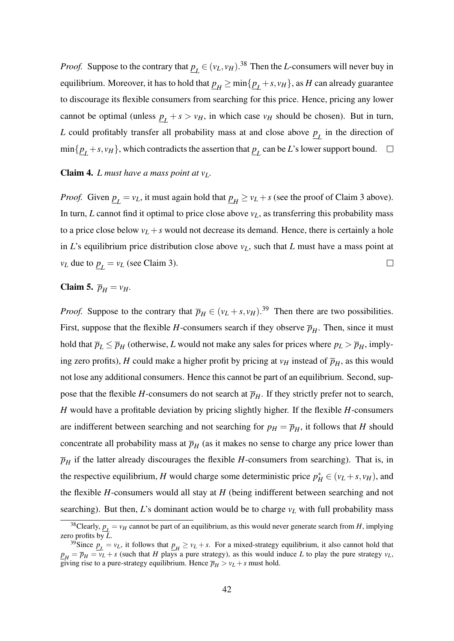*Proof.* Suppose to the contrary that  $\underline{p}_L \in (\nu_L, \nu_H)$ .<sup>38</sup> Then the *L*-consumers will never buy in equilibrium. Moreover, it has to hold that  $\underline{p}_H \geq \min\{\underline{p}_L+s, v_H\}$ , as  $H$  can already guarantee to discourage its flexible consumers from searching for this price. Hence, pricing any lower cannot be optimal (unless  $\underline{p}_L + s > v_H$ , in which case  $v_H$  should be chosen). But in turn, *L* could profitably transfer all probability mass at and close above *p L* in the direction of  $\min\{\underline{p}_L + s, \nu_H\}$ , which contradicts the assertion that  $\underline{p}_L$  can be *L*'s lower support bound.

#### Claim 4. *L must have a mass point at vL.*

*Proof.* Given  $\underline{p}_L = v_L$ , it must again hold that  $\underline{p}_H \ge v_L + s$  (see the proof of Claim 3 above). In turn, *L* cannot find it optimal to price close above  $v_L$ , as transferring this probability mass to a price close below  $v_L + s$  would not decrease its demand. Hence, there is certainly a hole in *L*'s equilibrium price distribution close above  $v<sub>L</sub>$ , such that *L* must have a mass point at  $v_L$  due to  $p_L = v_L$  (see Claim 3).  $\Box$ 

### Claim 5.  $\overline{p}_H = v_H$ .

*Proof.* Suppose to the contrary that  $\overline{p}_H \in (v_L + s, v_H)$ .<sup>39</sup> Then there are two possibilities. First, suppose that the flexible *H*-consumers search if they observe  $\overline{p}_H$ . Then, since it must hold that  $\overline{p}_L \leq \overline{p}_H$  (otherwise, *L* would not make any sales for prices where  $p_L > \overline{p}_H$ , implying zero profits), *H* could make a higher profit by pricing at  $v_H$  instead of  $\overline{p}_H$ , as this would not lose any additional consumers. Hence this cannot be part of an equilibrium. Second, suppose that the flexible *H*-consumers do not search at  $\overline{p}_H$ . If they strictly prefer not to search, *H* would have a profitable deviation by pricing slightly higher. If the flexible *H*-consumers are indifferent between searching and not searching for  $p_H = \overline{p}_H$ , it follows that *H* should concentrate all probability mass at  $\overline{p}_H$  (as it makes no sense to charge any price lower than  $\overline{p}_H$  if the latter already discourages the flexible *H*-consumers from searching). That is, in the respective equilibrium, *H* would charge some deterministic price  $p_H^* \in (v_L + s, v_H)$ , and the flexible *H*-consumers would all stay at *H* (being indifferent between searching and not searching). But then, *L*'s dominant action would be to charge  $v_L$  with full probability mass

<sup>&</sup>lt;sup>38</sup>Clearly,  $p_1 = v_H$  cannot be part of an equilibrium, as this would never generate search from *H*, implying *L* zero profits by *L*.

<sup>&</sup>lt;sup>39</sup>Since  $p_L = v_L$ , it follows that  $p_H \ge v_L + s$ . For a mixed-strategy equilibrium, it also cannot hold that  $p_H = \overline{p}_H = v_L + s$  (such that *H* plays a pure strategy), as this would induce *L* to play the pure strategy  $v_L$ , giving rise to a pure-strategy equilibrium. Hence  $\overline{p}_H > v_L + s$  must hold.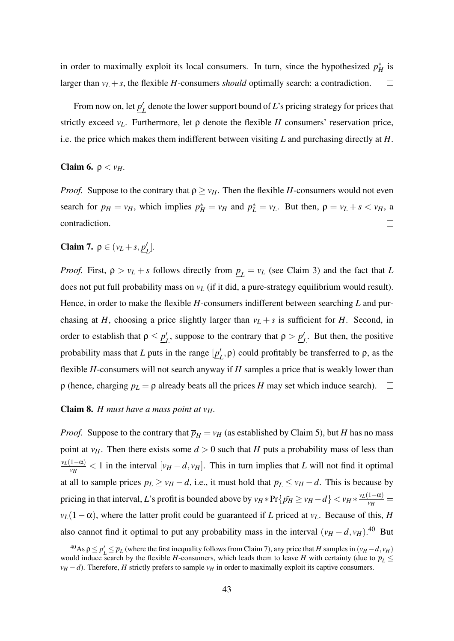in order to maximally exploit its local consumers. In turn, since the hypothesized  $p_H^*$  is larger than  $v_L + s$ , the flexible *H*-consumers *should* optimally search: a contradiction.  $\Box$ 

From now on, let *p* ′  $L_L$ <sup> $\prime$ </sup> denote the lower support bound of *L*'s pricing strategy for prices that strictly exceed  $v_L$ . Furthermore, let  $\rho$  denote the flexible *H* consumers' reservation price, i.e. the price which makes them indifferent between visiting *L* and purchasing directly at *H*.

#### Claim 6.  $\rho < v_H$ .

*Proof.* Suppose to the contrary that  $\rho \geq v_H$ . Then the flexible *H*-consumers would not even search for  $p_H = v_H$ , which implies  $p_H^* = v_H$  and  $p_L^* = v_L$ . But then,  $\rho = v_L + s < v_H$ , a contradiction.  $\Box$ 

Claim 7.  $\rho \in (v_L + s, p)$ *L* ]*.*

*Proof.* First,  $\rho > v_L + s$  follows directly from  $\underline{p}_L = v_L$  (see Claim 3) and the fact that *L* does not put full probability mass on *v<sup>L</sup>* (if it did, a pure-strategy equilibrium would result). Hence, in order to make the flexible *H*-consumers indifferent between searching *L* and purchasing at *H*, choosing a price slightly larger than  $v_L + s$  is sufficient for *H*. Second, in order to establish that  $\rho \leq p'_i$  $L$ <sup>*L*</sup>, suppose to the contrary that  $ρ > p_1'$  $L'$ . But then, the positive probability mass that *L* puts in the range  $[p]$  $L$ ,  $ρ$ ) could profitably be transferred to  $ρ$ , as the flexible *H*-consumers will not search anyway if *H* samples a price that is weakly lower than  $\rho$  (hence, charging  $p_L = \rho$  already beats all the prices *H* may set which induce search).  $\Box$ 

#### Claim 8. *H must have a mass point at vH.*

*Proof.* Suppose to the contrary that  $\overline{p}_H = v_H$  (as established by Claim 5), but *H* has no mass point at  $v_H$ . Then there exists some  $d > 0$  such that *H* puts a probability mass of less than *vL*(1−α)  $\frac{d^2 u}{d v_H}$  < 1 in the interval  $[v_H - d, v_H]$ . This in turn implies that *L* will not find it optimal at all to sample prices  $p_L \ge v_H - d$ , i.e., it must hold that  $\overline{p}_L \le v_H - d$ . This is because by pricing in that interval, *L*'s profit is bounded above by  $v_H * Pr\{\tilde{p_H} \ge v_H - d\} < v_H * \frac{v_L(1-\alpha)}{v_H}$  $\frac{1-\alpha}{\nu_H}$  =  $v_L(1-\alpha)$ , where the latter profit could be guaranteed if *L* priced at  $v_L$ . Because of this, *H* also cannot find it optimal to put any probability mass in the interval  $(v_H - d, v_H)$ .<sup>40</sup> But

 $\frac{40}{9}$ As  $\rho \leq p'_L \leq \overline{p}_L$  (where the first inequality follows from Claim 7), any price that *H* samples in  $(v_H - d, v_H)$ would induce search by the flexible *H*-consumers, which leads them to leave *H* with certainty (due to  $\overline{p}_L \leq$  $v_H - d$ ). Therefore, *H* strictly prefers to sample  $v_H$  in order to maximally exploit its captive consumers.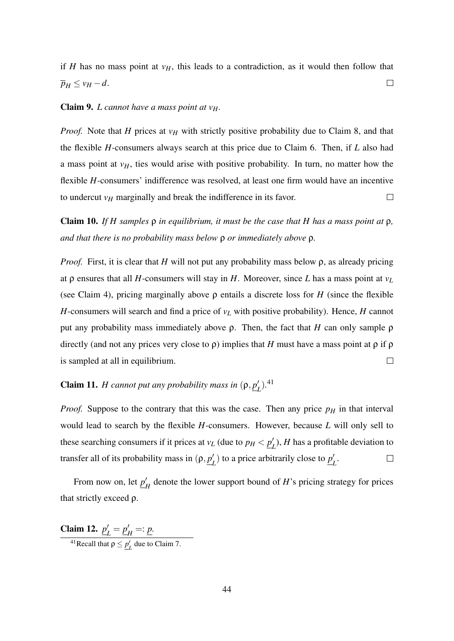if *H* has no mass point at  $v_H$ , this leads to a contradiction, as it would then follow that  $\overline{p}_H \le v_H - d$ .  $\Box$ 

#### Claim 9. *L cannot have a mass point at vH.*

*Proof.* Note that *H* prices at  $v_H$  with strictly positive probability due to Claim 8, and that the flexible *H*-consumers always search at this price due to Claim 6. Then, if *L* also had a mass point at  $v_H$ , ties would arise with positive probability. In turn, no matter how the flexible *H*-consumers' indifference was resolved, at least one firm would have an incentive to undercut  $v_H$  marginally and break the indifference in its favor.  $\Box$ 

Claim 10. *If H samples* ρ *in equilibrium, it must be the case that H has a mass point at* ρ*, and that there is no probability mass below* ρ *or immediately above* ρ*.*

*Proof.* First, it is clear that *H* will not put any probability mass below ρ, as already pricing at ρ ensures that all *H*-consumers will stay in *H*. Moreover, since *L* has a mass point at *v<sup>L</sup>* (see Claim 4), pricing marginally above ρ entails a discrete loss for *H* (since the flexible *H*-consumers will search and find a price of *v<sup>L</sup>* with positive probability). Hence, *H* cannot put any probability mass immediately above ρ. Then, the fact that *H* can only sample ρ directly (and not any prices very close to  $\rho$ ) implies that *H* must have a mass point at  $\rho$  if  $\rho$ is sampled at all in equilibrium.  $\Box$ 

#### **Claim 11.** *H cannot put any probability mass in*  $(\rho, p)$  $_{L}^{'}$ ).<sup>41</sup>

*Proof.* Suppose to the contrary that this was the case. Then any price  $p<sub>H</sub>$  in that interval would lead to search by the flexible *H*-consumers. However, because *L* will only sell to these searching consumers if it prices at  $v_L$  (due to  $p_H < p'_L$ )  $L_L$ ), *H* has a profitable deviation to transfer all of its probability mass in  $(\rho, p)$  $L_L$ <sup> $\prime$ </sup>) to a price arbitrarily close to  $p'_1$  $\Box$ *L* .

From now on, let  $p'_i$  $H$ <sup> $H$ </sup> denote the lower support bound of *H*'s pricing strategy for prices that strictly exceed ρ.

Claim 12. *p* ′  $L' = p_l'$  $'_{H} =: \underline{p}.$ <sup>41</sup>Recall that  $\rho \leq \underline{p}'_L$  due to Claim 7.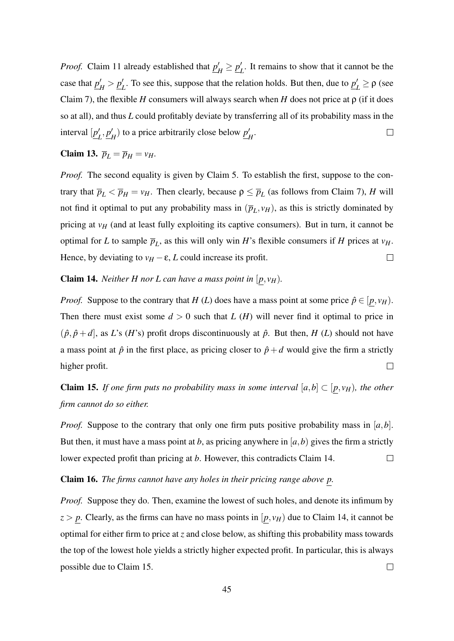*Proof.* Claim 11 already established that  $p'_i$  $\mu'_H \geq \underline{p}'_H$  $\frac{1}{L}$ . It remains to show that it cannot be the case that *p* ′  $'_{H}$  >  $p'_{H}$  $L$ <sup>2</sup>. To see this, suppose that the relation holds. But then, due to  $p'_1$  $L'$ ≥ ρ (see Claim 7), the flexible *H* consumers will always search when *H* does not price at  $\rho$  (if it does so at all), and thus *L* could profitably deviate by transferring all of its probability mass in the interval [*p* ′  $'_{L}$ ,  $p'_{L}$  $\binom{H}{H}$  to a price arbitrarily close below  $p'_1$ *H* .  $\Box$ 

### Claim 13.  $\overline{p}_L = \overline{p}_H = v_H$ .

*Proof.* The second equality is given by Claim 5. To establish the first, suppose to the contrary that  $\overline{p}_L < \overline{p}_H = v_H$ . Then clearly, because  $\rho \le \overline{p}_L$  (as follows from Claim 7), *H* will not find it optimal to put any probability mass in  $(\overline{p}_L, v_H)$ , as this is strictly dominated by pricing at  $v_H$  (and at least fully exploiting its captive consumers). But in turn, it cannot be optimal for *L* to sample  $\overline{p}_L$ , as this will only win *H*'s flexible consumers if *H* prices at  $v_H$ . Hence, by deviating to  $v_H - \varepsilon$ , *L* could increase its profit.  $\Box$ 

#### **Claim 14.** *Neither H nor L can have a mass point in*  $[p, v_H)$ *.*

*Proof.* Suppose to the contrary that *H* (*L*) does have a mass point at some price  $\hat{p} \in [p, v_H)$ . Then there must exist some  $d > 0$  such that *L* (*H*) will never find it optimal to price in  $(\hat{p}, \hat{p} + d)$ , as *L*'s (*H*'s) profit drops discontinuously at  $\hat{p}$ . But then, *H* (*L*) should not have a mass point at  $\hat{p}$  in the first place, as pricing closer to  $\hat{p}+d$  would give the firm a strictly  $\Box$ higher profit.

**Claim 15.** *If one firm puts no probability mass in some interval*  $[a,b] \subset [p, v_H)$ *, the other firm cannot do so either.*

*Proof.* Suppose to the contrary that only one firm puts positive probability mass in [*a*,*b*]. But then, it must have a mass point at *b*, as pricing anywhere in  $[a, b)$  gives the firm a strictly lower expected profit than pricing at *b*. However, this contradicts Claim 14.  $\Box$ 

### Claim 16. *The firms cannot have any holes in their pricing range above p.*

*Proof.* Suppose they do. Then, examine the lowest of such holes, and denote its infimum by  $z > p$ . Clearly, as the firms can have no mass points in  $[p, v_H]$  due to Claim 14, it cannot be optimal for either firm to price at *z* and close below, as shifting this probability mass towards the top of the lowest hole yields a strictly higher expected profit. In particular, this is always possible due to Claim 15.  $\Box$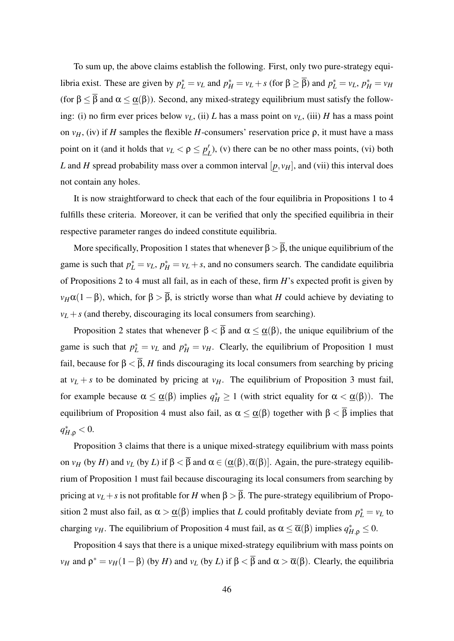To sum up, the above claims establish the following. First, only two pure-strategy equilibria exist. These are given by  $p_L^* = v_L$  and  $p_H^* = v_L + s$  (for  $\beta \ge \overline{\beta}$ ) and  $p_L^* = v_L$ ,  $p_H^* = v_H$ (for  $\beta \leq \overline{\beta}$  and  $\alpha \leq \underline{\alpha}(\beta)$ ). Second, any mixed-strategy equilibrium must satisfy the following: (i) no firm ever prices below  $v_L$ , (ii) *L* has a mass point on  $v_L$ , (iii) *H* has a mass point on  $v_H$ , (iv) if *H* samples the flexible *H*-consumers' reservation price  $\rho$ , it must have a mass point on it (and it holds that  $v_L < \rho \le p'_L$  $L<sup>1</sup>$ ), (v) there can be no other mass points, (vi) both *L* and *H* spread probability mass over a common interval  $[p, v_H]$ , and (vii) this interval does not contain any holes.

It is now straightforward to check that each of the four equilibria in Propositions 1 to 4 fulfills these criteria. Moreover, it can be verified that only the specified equilibria in their respective parameter ranges do indeed constitute equilibria.

More specifically, Proposition 1 states that whenever  $\beta > \overline{\beta}$ , the unique equilibrium of the game is such that  $p_L^* = v_L$ ,  $p_H^* = v_L + s$ , and no consumers search. The candidate equilibria of Propositions 2 to 4 must all fail, as in each of these, firm *H*'s expected profit is given by  $v_H\alpha(1-\beta)$ , which, for  $\beta > \overline{\beta}$ , is strictly worse than what *H* could achieve by deviating to  $v_L + s$  (and thereby, discouraging its local consumers from searching).

Proposition 2 states that whenever  $\beta < \overline{\beta}$  and  $\alpha \leq \alpha(\beta)$ , the unique equilibrium of the game is such that  $p_L^* = v_L$  and  $p_H^* = v_H$ . Clearly, the equilibrium of Proposition 1 must fail, because for  $\beta < \overline{\beta}$ , *H* finds discouraging its local consumers from searching by pricing at  $v_L + s$  to be dominated by pricing at  $v_H$ . The equilibrium of Proposition 3 must fail, for example because  $\alpha \leq \underline{\alpha}(\beta)$  implies  $q_H^* \geq 1$  (with strict equality for  $\alpha < \underline{\alpha}(\beta)$ ). The equilibrium of Proposition 4 must also fail, as  $\alpha \leq \underline{\alpha}(\beta)$  together with  $\beta < \overline{\beta}$  implies that  $q_{H,\rho}^* < 0$ .

Proposition 3 claims that there is a unique mixed-strategy equilibrium with mass points on *v<sub>H</sub>* (by *H*) and *v<sub>L</sub>* (by *L*) if  $\beta < \overline{\beta}$  and  $\alpha \in (\underline{\alpha}(\beta), \overline{\alpha}(\beta)]$ . Again, the pure-strategy equilibrium of Proposition 1 must fail because discouraging its local consumers from searching by pricing at  $v_L + s$  is not profitable for *H* when  $\beta > \overline{\beta}$ . The pure-strategy equilibrium of Proposition 2 must also fail, as  $\alpha > \underline{\alpha}(\beta)$  implies that *L* could profitably deviate from  $p_L^* = v_L$  to charging *v<sub>H</sub>*. The equilibrium of Proposition 4 must fail, as  $\alpha \leq \overline{\alpha}(\beta)$  implies  $q_{H,\rho}^* \leq 0$ .

Proposition 4 says that there is a unique mixed-strategy equilibrium with mass points on *v<sub>H</sub>* and  $ρ^* = v_H(1 - β)$  (by *H*) and *v<sub>L</sub>* (by *L*) if  $β < \overline{β}$  and  $α > \overline{α}(β)$ . Clearly, the equilibria